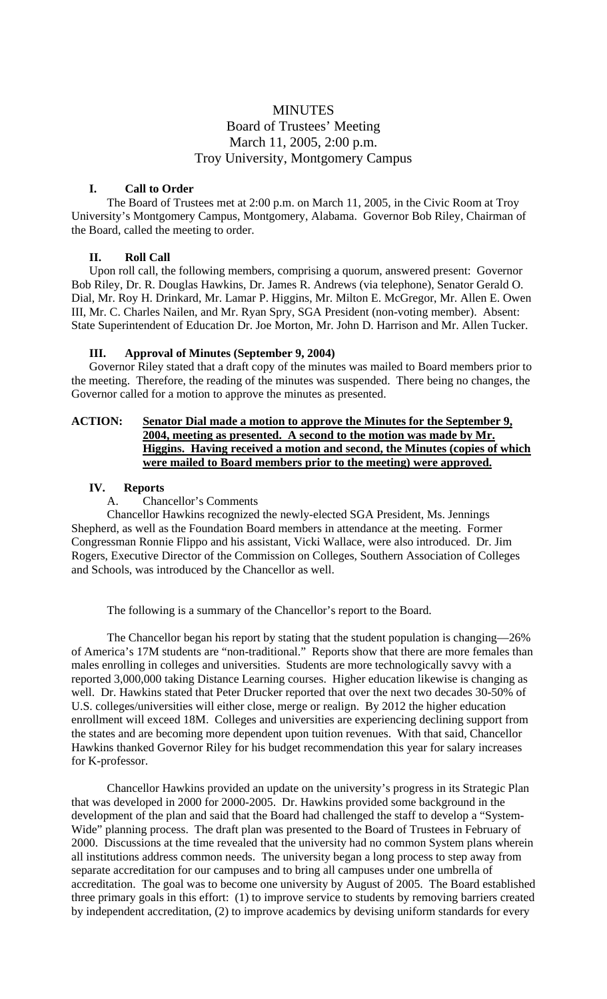# **MINUTES** Board of Trustees' Meeting March 11, 2005, 2:00 p.m. Troy University, Montgomery Campus

## **I. Call to Order**

The Board of Trustees met at 2:00 p.m. on March 11, 2005, in the Civic Room at Troy University's Montgomery Campus, Montgomery, Alabama. Governor Bob Riley, Chairman of the Board, called the meeting to order.

## **II. Roll Call**

Upon roll call, the following members, comprising a quorum, answered present: Governor Bob Riley, Dr. R. Douglas Hawkins, Dr. James R. Andrews (via telephone), Senator Gerald O. Dial, Mr. Roy H. Drinkard, Mr. Lamar P. Higgins, Mr. Milton E. McGregor, Mr. Allen E. Owen III, Mr. C. Charles Nailen, and Mr. Ryan Spry, SGA President (non-voting member). Absent: State Superintendent of Education Dr. Joe Morton, Mr. John D. Harrison and Mr. Allen Tucker.

## **III. Approval of Minutes (September 9, 2004)**

Governor Riley stated that a draft copy of the minutes was mailed to Board members prior to the meeting. Therefore, the reading of the minutes was suspended. There being no changes, the Governor called for a motion to approve the minutes as presented.

## **ACTION: Senator Dial made a motion to approve the Minutes for the September 9, 2004, meeting as presented. A second to the motion was made by Mr. Higgins. Having received a motion and second, the Minutes (copies of which were mailed to Board members prior to the meeting) were approved.**

# **IV. Reports**

## A. Chancellor's Comments

Chancellor Hawkins recognized the newly-elected SGA President, Ms. Jennings Shepherd, as well as the Foundation Board members in attendance at the meeting. Former Congressman Ronnie Flippo and his assistant, Vicki Wallace, were also introduced. Dr. Jim Rogers, Executive Director of the Commission on Colleges, Southern Association of Colleges and Schools, was introduced by the Chancellor as well.

The following is a summary of the Chancellor's report to the Board.

The Chancellor began his report by stating that the student population is changing—26% of America's 17M students are "non-traditional." Reports show that there are more females than males enrolling in colleges and universities. Students are more technologically savvy with a reported 3,000,000 taking Distance Learning courses. Higher education likewise is changing as well. Dr. Hawkins stated that Peter Drucker reported that over the next two decades 30-50% of U.S. colleges/universities will either close, merge or realign. By 2012 the higher education enrollment will exceed 18M. Colleges and universities are experiencing declining support from the states and are becoming more dependent upon tuition revenues. With that said, Chancellor Hawkins thanked Governor Riley for his budget recommendation this year for salary increases for K-professor.

 Chancellor Hawkins provided an update on the university's progress in its Strategic Plan that was developed in 2000 for 2000-2005. Dr. Hawkins provided some background in the development of the plan and said that the Board had challenged the staff to develop a "System-Wide" planning process. The draft plan was presented to the Board of Trustees in February of 2000. Discussions at the time revealed that the university had no common System plans wherein all institutions address common needs. The university began a long process to step away from separate accreditation for our campuses and to bring all campuses under one umbrella of accreditation. The goal was to become one university by August of 2005. The Board established three primary goals in this effort: (1) to improve service to students by removing barriers created by independent accreditation, (2) to improve academics by devising uniform standards for every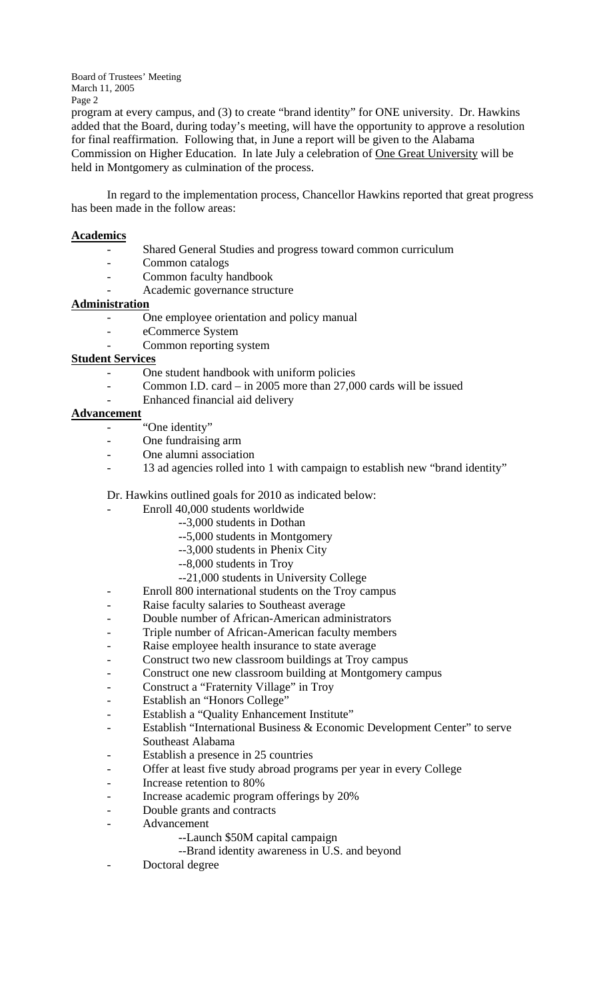program at every campus, and (3) to create "brand identity" for ONE university. Dr. Hawkins added that the Board, during today's meeting, will have the opportunity to approve a resolution for final reaffirmation. Following that, in June a report will be given to the Alabama Commission on Higher Education. In late July a celebration of One Great University will be held in Montgomery as culmination of the process.

 In regard to the implementation process, Chancellor Hawkins reported that great progress has been made in the follow areas:

## **Academics**

- Shared General Studies and progress toward common curriculum
- Common catalogs
- Common faculty handbook
- Academic governance structure

# **Administration**

- One employee orientation and policy manual
- eCommerce System
- Common reporting system

## **Student Services**

- One student handbook with uniform policies
- Common I.D. card in 2005 more than 27,000 cards will be issued
- Enhanced financial aid delivery

## **Advancement**

- "One identity"
- One fundraising arm
- One alumni association
- 13 ad agencies rolled into 1 with campaign to establish new "brand identity"

## Dr. Hawkins outlined goals for 2010 as indicated below:

- Enroll 40,000 students worldwide
	- --3,000 students in Dothan
		- --5,000 students in Montgomery
		- --3,000 students in Phenix City
		- --8,000 students in Troy
	- --21,000 students in University College
- Enroll 800 international students on the Troy campus
- Raise faculty salaries to Southeast average
- Double number of African-American administrators
- Triple number of African-American faculty members
- Raise employee health insurance to state average
- Construct two new classroom buildings at Troy campus
- Construct one new classroom building at Montgomery campus
- Construct a "Fraternity Village" in Troy
- Establish an "Honors College"
- Establish a "Quality Enhancement Institute"
- Establish "International Business & Economic Development Center" to serve Southeast Alabama
- Establish a presence in 25 countries
- Offer at least five study abroad programs per year in every College
- Increase retention to 80%
- Increase academic program offerings by 20%
- Double grants and contracts
- Advancement
	- --Launch \$50M capital campaign
	- --Brand identity awareness in U.S. and beyond
- Doctoral degree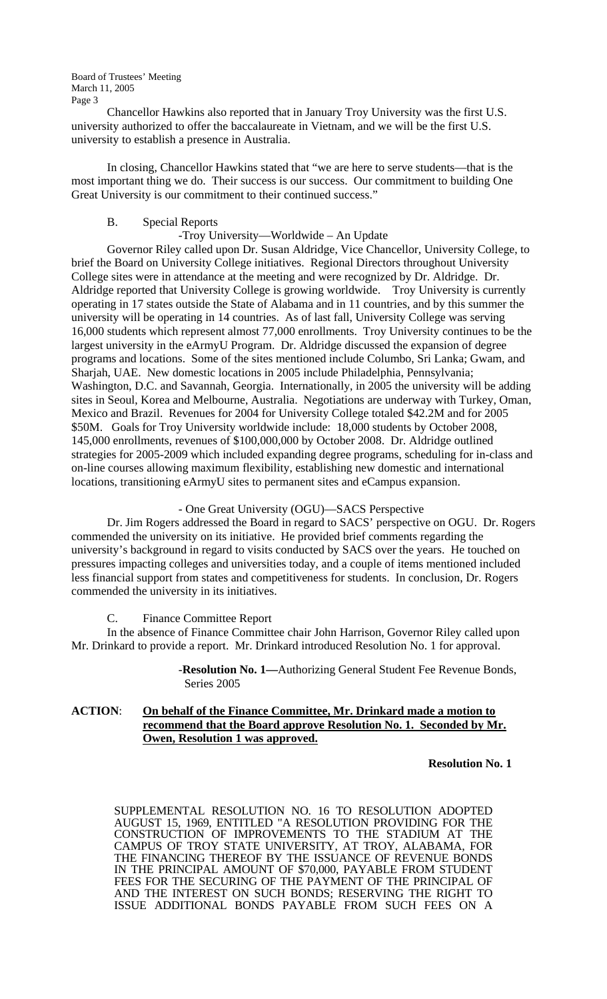Chancellor Hawkins also reported that in January Troy University was the first U.S. university authorized to offer the baccalaureate in Vietnam, and we will be the first U.S. university to establish a presence in Australia.

 In closing, Chancellor Hawkins stated that "we are here to serve students—that is the most important thing we do. Their success is our success. Our commitment to building One Great University is our commitment to their continued success."

### B. Special Reports

### -Troy University—Worldwide – An Update

 Governor Riley called upon Dr. Susan Aldridge, Vice Chancellor, University College, to brief the Board on University College initiatives. Regional Directors throughout University College sites were in attendance at the meeting and were recognized by Dr. Aldridge. Dr. Aldridge reported that University College is growing worldwide. Troy University is currently operating in 17 states outside the State of Alabama and in 11 countries, and by this summer the university will be operating in 14 countries. As of last fall, University College was serving 16,000 students which represent almost 77,000 enrollments. Troy University continues to be the largest university in the eArmyU Program. Dr. Aldridge discussed the expansion of degree programs and locations. Some of the sites mentioned include Columbo, Sri Lanka; Gwam, and Sharjah, UAE. New domestic locations in 2005 include Philadelphia, Pennsylvania; Washington, D.C. and Savannah, Georgia. Internationally, in 2005 the university will be adding sites in Seoul, Korea and Melbourne, Australia. Negotiations are underway with Turkey, Oman, Mexico and Brazil. Revenues for 2004 for University College totaled \$42.2M and for 2005 \$50M. Goals for Troy University worldwide include: 18,000 students by October 2008, 145,000 enrollments, revenues of \$100,000,000 by October 2008. Dr. Aldridge outlined strategies for 2005-2009 which included expanding degree programs, scheduling for in-class and on-line courses allowing maximum flexibility, establishing new domestic and international locations, transitioning eArmyU sites to permanent sites and eCampus expansion.

### - One Great University (OGU)—SACS Perspective

 Dr. Jim Rogers addressed the Board in regard to SACS' perspective on OGU. Dr. Rogers commended the university on its initiative. He provided brief comments regarding the university's background in regard to visits conducted by SACS over the years. He touched on pressures impacting colleges and universities today, and a couple of items mentioned included less financial support from states and competitiveness for students. In conclusion, Dr. Rogers commended the university in its initiatives.

C. Finance Committee Report

 In the absence of Finance Committee chair John Harrison, Governor Riley called upon Mr. Drinkard to provide a report. Mr. Drinkard introduced Resolution No. 1 for approval.

> -**Resolution No. 1—**Authorizing General Student Fee Revenue Bonds, Series 2005

## **ACTION**: **On behalf of the Finance Committee, Mr. Drinkard made a motion to recommend that the Board approve Resolution No. 1. Seconded by Mr. Owen, Resolution 1 was approved.**

**Resolution No. 1** 

 SUPPLEMENTAL RESOLUTION NO. 16 TO RESOLUTION ADOPTED AUGUST 15, 1969, ENTITLED "A RESOLUTION PROVIDING FOR THE CONSTRUCTION OF IMPROVEMENTS TO THE STADIUM AT THE CAMPUS OF TROY STATE UNIVERSITY, AT TROY, ALABAMA, FOR THE FINANCING THEREOF BY THE ISSUANCE OF REVENUE BONDS IN THE PRINCIPAL AMOUNT OF \$70,000, PAYABLE FROM STUDENT FEES FOR THE SECURING OF THE PAYMENT OF THE PRINCIPAL OF AND THE INTEREST ON SUCH BONDS; RESERVING THE RIGHT TO ISSUE ADDITIONAL BONDS PAYABLE FROM SUCH FEES ON A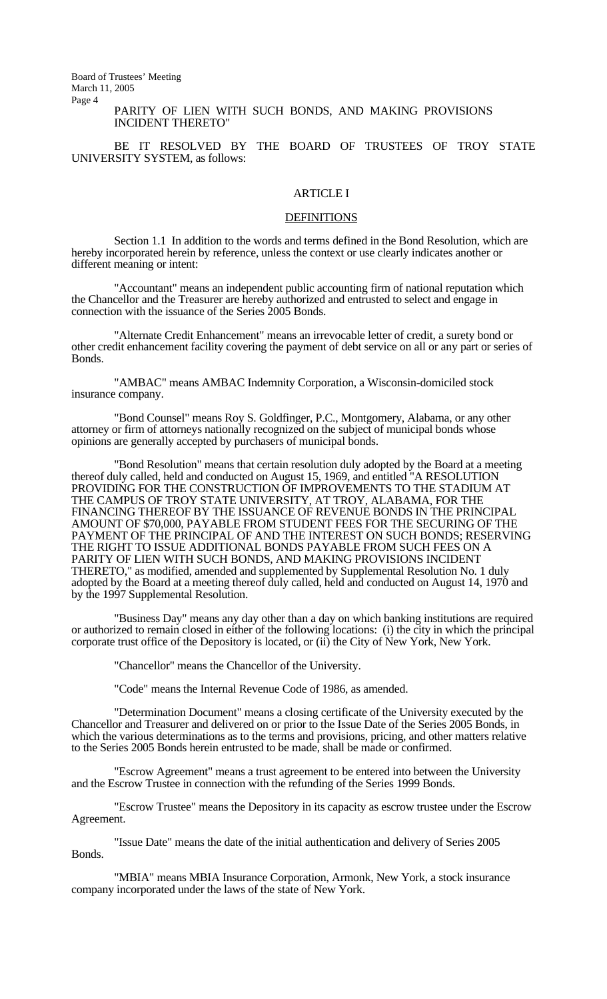### PARITY OF LIEN WITH SUCH BONDS, AND MAKING PROVISIONS INCIDENT THERETO"

 BE IT RESOLVED BY THE BOARD OF TRUSTEES OF TROY STATE UNIVERSITY SYSTEM, as follows:

### ARTICLE I

### **DEFINITIONS**

 Section 1.1 In addition to the words and terms defined in the Bond Resolution, which are hereby incorporated herein by reference, unless the context or use clearly indicates another or different meaning or intent:

 "Accountant" means an independent public accounting firm of national reputation which the Chancellor and the Treasurer are hereby authorized and entrusted to select and engage in connection with the issuance of the Series 2005 Bonds.

 "Alternate Credit Enhancement" means an irrevocable letter of credit, a surety bond or other credit enhancement facility covering the payment of debt service on all or any part or series of Bonds.

 "AMBAC" means AMBAC Indemnity Corporation, a Wisconsin-domiciled stock insurance company.

 "Bond Counsel" means Roy S. Goldfinger, P.C., Montgomery, Alabama, or any other attorney or firm of attorneys nationally recognized on the subject of municipal bonds whose opinions are generally accepted by purchasers of municipal bonds.

 "Bond Resolution" means that certain resolution duly adopted by the Board at a meeting thereof duly called, held and conducted on August 15, 1969, and entitled "A RESOLUTION PROVIDING FOR THE CONSTRUCTION OF IMPROVEMENTS TO THE STADIUM AT THE CAMPUS OF TROY STATE UNIVERSITY, AT TROY, ALABAMA, FOR THE FINANCING THEREOF BY THE ISSUANCE OF REVENUE BONDS IN THE PRINCIPAL AMOUNT OF \$70,000, PAYABLE FROM STUDENT FEES FOR THE SECURING OF THE PAYMENT OF THE PRINCIPAL OF AND THE INTEREST ON SUCH BONDS; RESERVING THE RIGHT TO ISSUE ADDITIONAL BONDS PAYABLE FROM SUCH FEES ON A PARITY OF LIEN WITH SUCH BONDS, AND MAKING PROVISIONS INCIDENT THERETO," as modified, amended and supplemented by Supplemental Resolution No. 1 duly adopted by the Board at a meeting thereof duly called, held and conducted on August 14, 1970 and by the 1997 Supplemental Resolution.

 "Business Day" means any day other than a day on which banking institutions are required or authorized to remain closed in either of the following locations: (i) the city in which the principal corporate trust office of the Depository is located, or (ii) the City of New York, New York.

"Chancellor" means the Chancellor of the University.

"Code" means the Internal Revenue Code of 1986, as amended.

 "Determination Document" means a closing certificate of the University executed by the Chancellor and Treasurer and delivered on or prior to the Issue Date of the Series 2005 Bonds, in which the various determinations as to the terms and provisions, pricing, and other matters relative to the Series 2005 Bonds herein entrusted to be made, shall be made or confirmed.

 "Escrow Agreement" means a trust agreement to be entered into between the University and the Escrow Trustee in connection with the refunding of the Series 1999 Bonds.

 "Escrow Trustee" means the Depository in its capacity as escrow trustee under the Escrow Agreement.

 "Issue Date" means the date of the initial authentication and delivery of Series 2005 Bonds.

 "MBIA" means MBIA Insurance Corporation, Armonk, New York, a stock insurance company incorporated under the laws of the state of New York.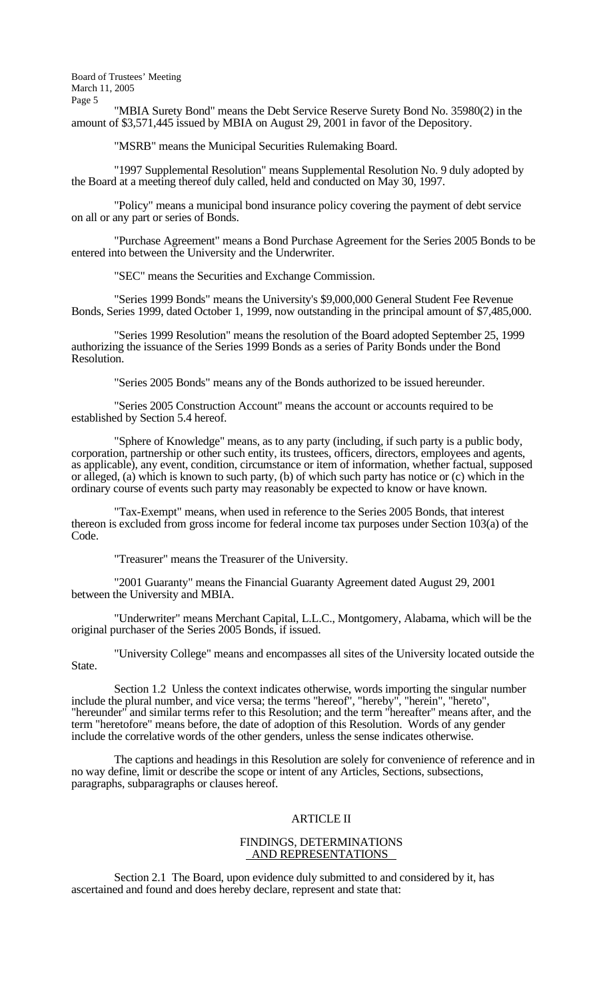"MBIA Surety Bond" means the Debt Service Reserve Surety Bond No. 35980(2) in the amount of \$3,571,445 issued by MBIA on August 29, 2001 in favor of the Depository.

"MSRB" means the Municipal Securities Rulemaking Board.

 "1997 Supplemental Resolution" means Supplemental Resolution No. 9 duly adopted by the Board at a meeting thereof duly called, held and conducted on May 30, 1997.

 "Policy" means a municipal bond insurance policy covering the payment of debt service on all or any part or series of Bonds.

 "Purchase Agreement" means a Bond Purchase Agreement for the Series 2005 Bonds to be entered into between the University and the Underwriter.

"SEC" means the Securities and Exchange Commission.

 "Series 1999 Bonds" means the University's \$9,000,000 General Student Fee Revenue Bonds, Series 1999, dated October 1, 1999, now outstanding in the principal amount of \$7,485,000.

 "Series 1999 Resolution" means the resolution of the Board adopted September 25, 1999 authorizing the issuance of the Series 1999 Bonds as a series of Parity Bonds under the Bond Resolution.

"Series 2005 Bonds" means any of the Bonds authorized to be issued hereunder.

 "Series 2005 Construction Account" means the account or accounts required to be established by Section 5.4 hereof.

 "Sphere of Knowledge" means, as to any party (including, if such party is a public body, corporation, partnership or other such entity, its trustees, officers, directors, employees and agents, as applicable), any event, condition, circumstance or item of information, whether factual, supposed or alleged, (a) which is known to such party, (b) of which such party has notice or (c) which in the ordinary course of events such party may reasonably be expected to know or have known.

 "Tax-Exempt" means, when used in reference to the Series 2005 Bonds, that interest thereon is excluded from gross income for federal income tax purposes under Section 103(a) of the Code.

"Treasurer" means the Treasurer of the University.

 "2001 Guaranty" means the Financial Guaranty Agreement dated August 29, 2001 between the University and MBIA.

 "Underwriter" means Merchant Capital, L.L.C., Montgomery, Alabama, which will be the original purchaser of the Series 2005 Bonds, if issued.

 "University College" means and encompasses all sites of the University located outside the State.

 Section 1.2 Unless the context indicates otherwise, words importing the singular number include the plural number, and vice versa; the terms "hereof", "hereby", "herein", "hereto", "hereunder" and similar terms refer to this Resolution; and the term "hereafter" means after, and the term "heretofore" means before, the date of adoption of this Resolution. Words of any gender include the correlative words of the other genders, unless the sense indicates otherwise.

 The captions and headings in this Resolution are solely for convenience of reference and in no way define, limit or describe the scope or intent of any Articles, Sections, subsections, paragraphs, subparagraphs or clauses hereof.

### ARTICLE II

#### FINDINGS, DETERMINATIONS AND REPRESENTATIONS

 Section 2.1 The Board, upon evidence duly submitted to and considered by it, has ascertained and found and does hereby declare, represent and state that: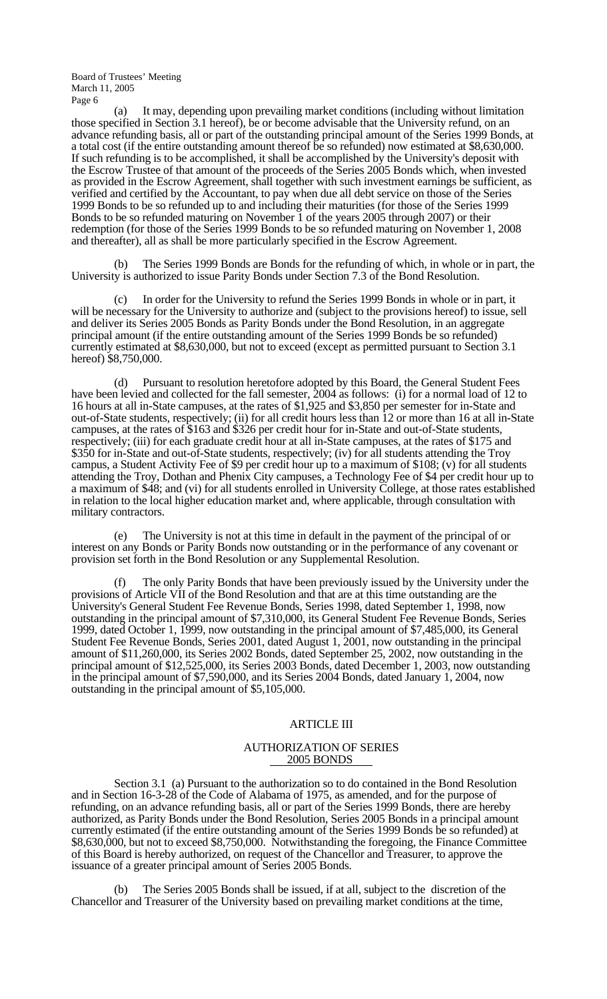(a) It may, depending upon prevailing market conditions (including without limitation those specified in Section 3.1 hereof), be or become advisable that the University refund, on an advance refunding basis, all or part of the outstanding principal amount of the Series 1999 Bonds, at a total cost (if the entire outstanding amount thereof be so refunded) now estimated at \$8,630,000. If such refunding is to be accomplished, it shall be accomplished by the University's deposit with the Escrow Trustee of that amount of the proceeds of the Series 2005 Bonds which, when invested as provided in the Escrow Agreement, shall together with such investment earnings be sufficient, as verified and certified by the Accountant, to pay when due all debt service on those of the Series 1999 Bonds to be so refunded up to and including their maturities (for those of the Series 1999 Bonds to be so refunded maturing on November 1 of the years 2005 through 2007) or their redemption (for those of the Series 1999 Bonds to be so refunded maturing on November 1, 2008 and thereafter), all as shall be more particularly specified in the Escrow Agreement.

 (b) The Series 1999 Bonds are Bonds for the refunding of which, in whole or in part, the University is authorized to issue Parity Bonds under Section 7.3 of the Bond Resolution.

 (c) In order for the University to refund the Series 1999 Bonds in whole or in part, it will be necessary for the University to authorize and (subject to the provisions hereof) to issue, sell and deliver its Series 2005 Bonds as Parity Bonds under the Bond Resolution, in an aggregate principal amount (if the entire outstanding amount of the Series 1999 Bonds be so refunded) currently estimated at \$8,630,000, but not to exceed (except as permitted pursuant to Section 3.1 hereof) \$8,750,000.

Pursuant to resolution heretofore adopted by this Board, the General Student Fees have been levied and collected for the fall semester, 2004 as follows: (i) for a normal load of 12 to 16 hours at all in-State campuses, at the rates of \$1,925 and \$3,850 per semester for in-State and out-of-State students, respectively; (ii) for all credit hours less than 12 or more than 16 at all in-State campuses, at the rates of \$163 and \$326 per credit hour for in-State and out-of-State students, respectively; (iii) for each graduate credit hour at all in-State campuses, at the rates of \$175 and \$350 for in-State and out-of-State students, respectively; (iv) for all students attending the Troy campus, a Student Activity Fee of \$9 per credit hour up to a maximum of \$108; (v) for all students attending the Troy, Dothan and Phenix City campuses, a Technology Fee of \$4 per credit hour up to a maximum of \$48; and (vi) for all students enrolled in University College, at those rates established in relation to the local higher education market and, where applicable, through consultation with military contractors.

 (e) The University is not at this time in default in the payment of the principal of or interest on any Bonds or Parity Bonds now outstanding or in the performance of any covenant or provision set forth in the Bond Resolution or any Supplemental Resolution.

The only Parity Bonds that have been previously issued by the University under the provisions of Article VII of the Bond Resolution and that are at this time outstanding are the University's General Student Fee Revenue Bonds, Series 1998, dated September 1, 1998, now outstanding in the principal amount of \$7,310,000, its General Student Fee Revenue Bonds, Series 1999, dated October 1, 1999, now outstanding in the principal amount of \$7,485,000, its General Student Fee Revenue Bonds, Series 2001, dated August 1, 2001, now outstanding in the principal amount of \$11,260,000, its Series 2002 Bonds, dated September 25, 2002, now outstanding in the principal amount of \$12,525,000, its Series 2003 Bonds, dated December 1, 2003, now outstanding in the principal amount of \$7,590,000, and its Series 2004 Bonds, dated January 1, 2004, now outstanding in the principal amount of \$5,105,000.

#### ARTICLE III

#### AUTHORIZATION OF SERIES 2005 BONDS

 Section 3.1 (a) Pursuant to the authorization so to do contained in the Bond Resolution and in Section 16-3-28 of the Code of Alabama of 1975, as amended, and for the purpose of refunding, on an advance refunding basis, all or part of the Series 1999 Bonds, there are hereby authorized, as Parity Bonds under the Bond Resolution, Series 2005 Bonds in a principal amount currently estimated (if the entire outstanding amount of the Series 1999 Bonds be so refunded) at \$8,630,000, but not to exceed \$8,750,000. Notwithstanding the foregoing, the Finance Committee of this Board is hereby authorized, on request of the Chancellor and Treasurer, to approve the issuance of a greater principal amount of Series 2005 Bonds.

 (b) The Series 2005 Bonds shall be issued, if at all, subject to the discretion of the Chancellor and Treasurer of the University based on prevailing market conditions at the time,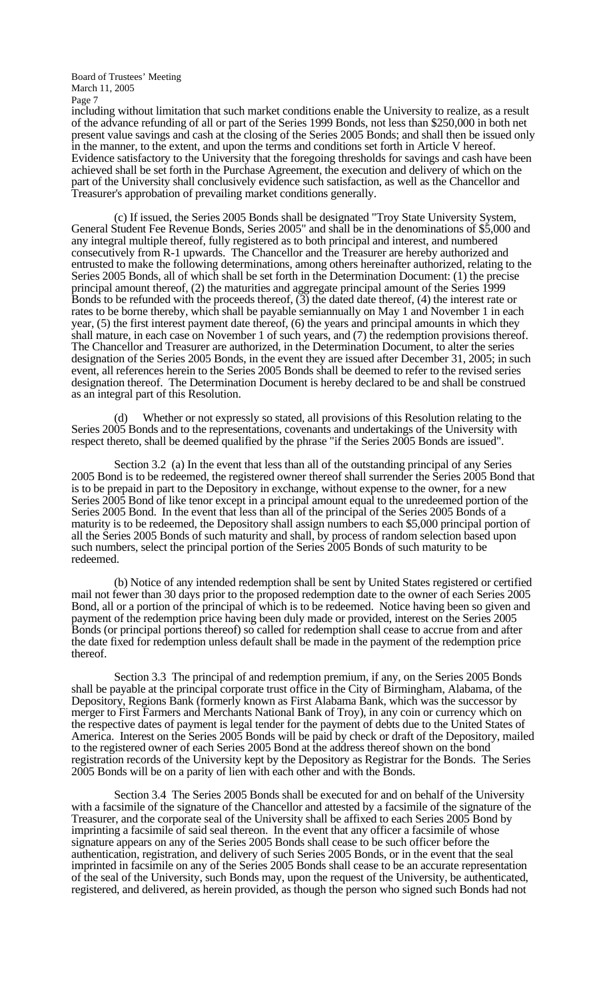including without limitation that such market conditions enable the University to realize, as a result of the advance refunding of all or part of the Series 1999 Bonds, not less than \$250,000 in both net present value savings and cash at the closing of the Series 2005 Bonds; and shall then be issued only in the manner, to the extent, and upon the terms and conditions set forth in Article V hereof. Evidence satisfactory to the University that the foregoing thresholds for savings and cash have been achieved shall be set forth in the Purchase Agreement, the execution and delivery of which on the part of the University shall conclusively evidence such satisfaction, as well as the Chancellor and Treasurer's approbation of prevailing market conditions generally.

 (c) If issued, the Series 2005 Bonds shall be designated "Troy State University System, General Student Fee Revenue Bonds, Series 2005" and shall be in the denominations of \$5,000 and any integral multiple thereof, fully registered as to both principal and interest, and numbered consecutively from R-1 upwards. The Chancellor and the Treasurer are hereby authorized and entrusted to make the following determinations, among others hereinafter authorized, relating to the Series 2005 Bonds, all of which shall be set forth in the Determination Document: (1) the precise principal amount thereof, (2) the maturities and aggregate principal amount of the Series 1999 Bonds to be refunded with the proceeds thereof,  $(3)$  the dated date thereof,  $(4)$  the interest rate or rates to be borne thereby, which shall be payable semiannually on May 1 and November 1 in each year, (5) the first interest payment date thereof, (6) the years and principal amounts in which they shall mature, in each case on November 1 of such years, and (7) the redemption provisions thereof. The Chancellor and Treasurer are authorized, in the Determination Document, to alter the series designation of the Series 2005 Bonds, in the event they are issued after December 31, 2005; in such event, all references herein to the Series 2005 Bonds shall be deemed to refer to the revised series designation thereof. The Determination Document is hereby declared to be and shall be construed as an integral part of this Resolution.

 (d) Whether or not expressly so stated, all provisions of this Resolution relating to the Series 2005 Bonds and to the representations, covenants and undertakings of the University with respect thereto, shall be deemed qualified by the phrase "if the Series 2005 Bonds are issued".

 Section 3.2 (a) In the event that less than all of the outstanding principal of any Series 2005 Bond is to be redeemed, the registered owner thereof shall surrender the Series 2005 Bond that is to be prepaid in part to the Depository in exchange, without expense to the owner, for a new Series 2005 Bond of like tenor except in a principal amount equal to the unredeemed portion of the Series 2005 Bond. In the event that less than all of the principal of the Series 2005 Bonds of a maturity is to be redeemed, the Depository shall assign numbers to each \$5,000 principal portion of all the Series 2005 Bonds of such maturity and shall, by process of random selection based upon such numbers, select the principal portion of the Series 2005 Bonds of such maturity to be redeemed.

 (b) Notice of any intended redemption shall be sent by United States registered or certified mail not fewer than 30 days prior to the proposed redemption date to the owner of each Series 2005 Bond, all or a portion of the principal of which is to be redeemed. Notice having been so given and payment of the redemption price having been duly made or provided, interest on the Series 2005 Bonds (or principal portions thereof) so called for redemption shall cease to accrue from and after the date fixed for redemption unless default shall be made in the payment of the redemption price thereof.

 Section 3.3 The principal of and redemption premium, if any, on the Series 2005 Bonds shall be payable at the principal corporate trust office in the City of Birmingham, Alabama, of the Depository, Regions Bank (formerly known as First Alabama Bank, which was the successor by merger to First Farmers and Merchants National Bank of Troy), in any coin or currency which on the respective dates of payment is legal tender for the payment of debts due to the United States of America. Interest on the Series 2005 Bonds will be paid by check or draft of the Depository, mailed to the registered owner of each Series 2005 Bond at the address thereof shown on the bond registration records of the University kept by the Depository as Registrar for the Bonds. The Series 2005 Bonds will be on a parity of lien with each other and with the Bonds.

 Section 3.4 The Series 2005 Bonds shall be executed for and on behalf of the University with a facsimile of the signature of the Chancellor and attested by a facsimile of the signature of the Treasurer, and the corporate seal of the University shall be affixed to each Series 2005 Bond by imprinting a facsimile of said seal thereon. In the event that any officer a facsimile of whose signature appears on any of the Series 2005 Bonds shall cease to be such officer before the authentication, registration, and delivery of such Series 2005 Bonds, or in the event that the seal imprinted in facsimile on any of the Series 2005 Bonds shall cease to be an accurate representation of the seal of the University, such Bonds may, upon the request of the University, be authenticated, registered, and delivered, as herein provided, as though the person who signed such Bonds had not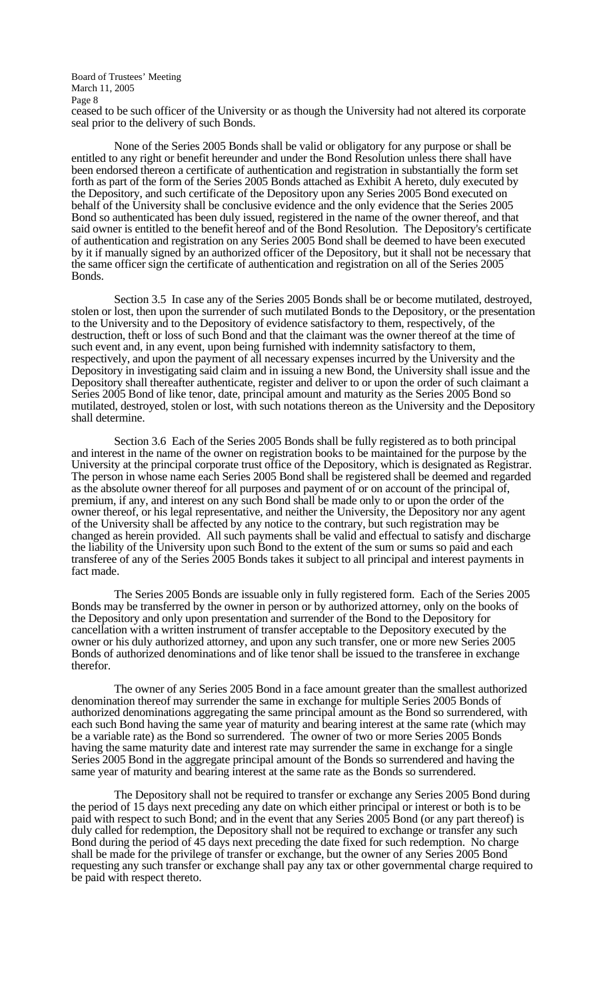ceased to be such officer of the University or as though the University had not altered its corporate seal prior to the delivery of such Bonds.

 None of the Series 2005 Bonds shall be valid or obligatory for any purpose or shall be entitled to any right or benefit hereunder and under the Bond Resolution unless there shall have been endorsed thereon a certificate of authentication and registration in substantially the form set forth as part of the form of the Series 2005 Bonds attached as Exhibit A hereto, duly executed by the Depository, and such certificate of the Depository upon any Series 2005 Bond executed on behalf of the University shall be conclusive evidence and the only evidence that the Series 2005 Bond so authenticated has been duly issued, registered in the name of the owner thereof, and that said owner is entitled to the benefit hereof and of the Bond Resolution. The Depository's certificate of authentication and registration on any Series 2005 Bond shall be deemed to have been executed by it if manually signed by an authorized officer of the Depository, but it shall not be necessary that the same officer sign the certificate of authentication and registration on all of the Series 2005 Bonds.

 Section 3.5 In case any of the Series 2005 Bonds shall be or become mutilated, destroyed, stolen or lost, then upon the surrender of such mutilated Bonds to the Depository, or the presentation to the University and to the Depository of evidence satisfactory to them, respectively, of the destruction, theft or loss of such Bond and that the claimant was the owner thereof at the time of such event and, in any event, upon being furnished with indemnity satisfactory to them, respectively, and upon the payment of all necessary expenses incurred by the University and the Depository in investigating said claim and in issuing a new Bond, the University shall issue and the Depository shall thereafter authenticate, register and deliver to or upon the order of such claimant a Series 2005 Bond of like tenor, date, principal amount and maturity as the Series 2005 Bond so mutilated, destroyed, stolen or lost, with such notations thereon as the University and the Depository shall determine.

 Section 3.6 Each of the Series 2005 Bonds shall be fully registered as to both principal and interest in the name of the owner on registration books to be maintained for the purpose by the University at the principal corporate trust office of the Depository, which is designated as Registrar. The person in whose name each Series 2005 Bond shall be registered shall be deemed and regarded as the absolute owner thereof for all purposes and payment of or on account of the principal of, premium, if any, and interest on any such Bond shall be made only to or upon the order of the owner thereof, or his legal representative, and neither the University, the Depository nor any agent of the University shall be affected by any notice to the contrary, but such registration may be changed as herein provided. All such payments shall be valid and effectual to satisfy and discharge the liability of the University upon such Bond to the extent of the sum or sums so paid and each transferee of any of the Series 2005 Bonds takes it subject to all principal and interest payments in fact made.

 The Series 2005 Bonds are issuable only in fully registered form. Each of the Series 2005 Bonds may be transferred by the owner in person or by authorized attorney, only on the books of the Depository and only upon presentation and surrender of the Bond to the Depository for cancellation with a written instrument of transfer acceptable to the Depository executed by the owner or his duly authorized attorney, and upon any such transfer, one or more new Series 2005 Bonds of authorized denominations and of like tenor shall be issued to the transferee in exchange therefor.

 The owner of any Series 2005 Bond in a face amount greater than the smallest authorized denomination thereof may surrender the same in exchange for multiple Series 2005 Bonds of authorized denominations aggregating the same principal amount as the Bond so surrendered, with each such Bond having the same year of maturity and bearing interest at the same rate (which may be a variable rate) as the Bond so surrendered. The owner of two or more Series 2005 Bonds having the same maturity date and interest rate may surrender the same in exchange for a single Series 2005 Bond in the aggregate principal amount of the Bonds so surrendered and having the same year of maturity and bearing interest at the same rate as the Bonds so surrendered.

 The Depository shall not be required to transfer or exchange any Series 2005 Bond during the period of 15 days next preceding any date on which either principal or interest or both is to be paid with respect to such Bond; and in the event that any Series 2005 Bond (or any part thereof) is duly called for redemption, the Depository shall not be required to exchange or transfer any such Bond during the period of 45 days next preceding the date fixed for such redemption. No charge shall be made for the privilege of transfer or exchange, but the owner of any Series 2005 Bond requesting any such transfer or exchange shall pay any tax or other governmental charge required to be paid with respect thereto.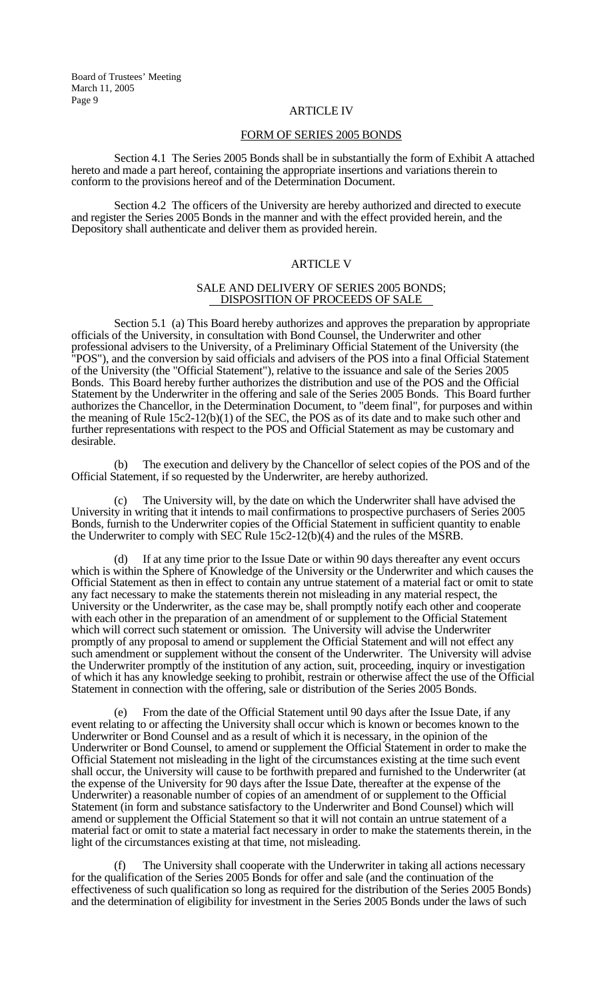### ARTICLE IV

### FORM OF SERIES 2005 BONDS

 Section 4.1 The Series 2005 Bonds shall be in substantially the form of Exhibit A attached hereto and made a part hereof, containing the appropriate insertions and variations therein to conform to the provisions hereof and of the Determination Document.

 Section 4.2 The officers of the University are hereby authorized and directed to execute and register the Series 2005 Bonds in the manner and with the effect provided herein, and the Depository shall authenticate and deliver them as provided herein.

### ARTICLE V

#### SALE AND DELIVERY OF SERIES 2005 BONDS; DISPOSITION OF PROCEEDS OF SALE

 Section 5.1 (a) This Board hereby authorizes and approves the preparation by appropriate officials of the University, in consultation with Bond Counsel, the Underwriter and other professional advisers to the University, of a Preliminary Official Statement of the University (the "POS"), and the conversion by said officials and advisers of the POS into a final Official Statement of the University (the "Official Statement"), relative to the issuance and sale of the Series 2005 Bonds. This Board hereby further authorizes the distribution and use of the POS and the Official Statement by the Underwriter in the offering and sale of the Series 2005 Bonds. This Board further authorizes the Chancellor, in the Determination Document, to "deem final", for purposes and within the meaning of Rule 15c2-12(b)(1) of the SEC, the POS as of its date and to make such other and further representations with respect to the POS and Official Statement as may be customary and desirable.

 (b) The execution and delivery by the Chancellor of select copies of the POS and of the Official Statement, if so requested by the Underwriter, are hereby authorized.

The University will, by the date on which the Underwriter shall have advised the University in writing that it intends to mail confirmations to prospective purchasers of Series 2005 Bonds, furnish to the Underwriter copies of the Official Statement in sufficient quantity to enable the Underwriter to comply with SEC Rule 15c2-12(b)(4) and the rules of the MSRB.

 (d) If at any time prior to the Issue Date or within 90 days thereafter any event occurs which is within the Sphere of Knowledge of the University or the Underwriter and which causes the Official Statement as then in effect to contain any untrue statement of a material fact or omit to state any fact necessary to make the statements therein not misleading in any material respect, the University or the Underwriter, as the case may be, shall promptly notify each other and cooperate with each other in the preparation of an amendment of or supplement to the Official Statement which will correct such statement or omission. The University will advise the Underwriter promptly of any proposal to amend or supplement the Official Statement and will not effect any such amendment or supplement without the consent of the Underwriter. The University will advise the Underwriter promptly of the institution of any action, suit, proceeding, inquiry or investigation of which it has any knowledge seeking to prohibit, restrain or otherwise affect the use of the Official Statement in connection with the offering, sale or distribution of the Series 2005 Bonds.

 (e) From the date of the Official Statement until 90 days after the Issue Date, if any event relating to or affecting the University shall occur which is known or becomes known to the Underwriter or Bond Counsel and as a result of which it is necessary, in the opinion of the Underwriter or Bond Counsel, to amend or supplement the Official Statement in order to make the Official Statement not misleading in the light of the circumstances existing at the time such event shall occur, the University will cause to be forthwith prepared and furnished to the Underwriter (at the expense of the University for 90 days after the Issue Date, thereafter at the expense of the Underwriter) a reasonable number of copies of an amendment of or supplement to the Official Statement (in form and substance satisfactory to the Underwriter and Bond Counsel) which will amend or supplement the Official Statement so that it will not contain an untrue statement of a material fact or omit to state a material fact necessary in order to make the statements therein, in the light of the circumstances existing at that time, not misleading.

The University shall cooperate with the Underwriter in taking all actions necessary for the qualification of the Series 2005 Bonds for offer and sale (and the continuation of the effectiveness of such qualification so long as required for the distribution of the Series 2005 Bonds) and the determination of eligibility for investment in the Series 2005 Bonds under the laws of such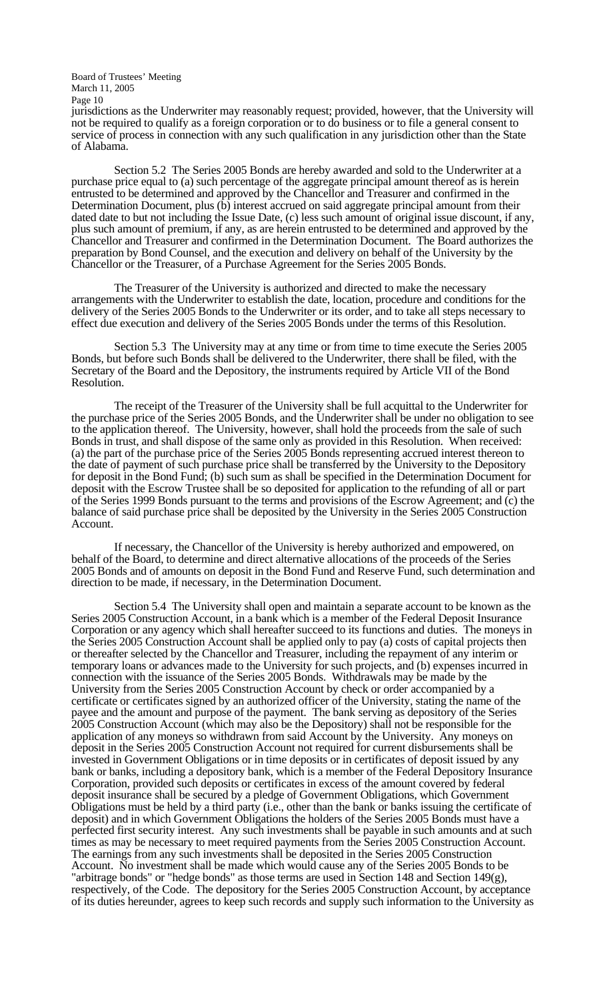jurisdictions as the Underwriter may reasonably request; provided, however, that the University will not be required to qualify as a foreign corporation or to do business or to file a general consent to service of process in connection with any such qualification in any jurisdiction other than the State of Alabama.

 Section 5.2 The Series 2005 Bonds are hereby awarded and sold to the Underwriter at a purchase price equal to (a) such percentage of the aggregate principal amount thereof as is herein entrusted to be determined and approved by the Chancellor and Treasurer and confirmed in the Determination Document, plus (b) interest accrued on said aggregate principal amount from their dated date to but not including the Issue Date, (c) less such amount of original issue discount, if any, plus such amount of premium, if any, as are herein entrusted to be determined and approved by the Chancellor and Treasurer and confirmed in the Determination Document. The Board authorizes the preparation by Bond Counsel, and the execution and delivery on behalf of the University by the Chancellor or the Treasurer, of a Purchase Agreement for the Series 2005 Bonds.

 The Treasurer of the University is authorized and directed to make the necessary arrangements with the Underwriter to establish the date, location, procedure and conditions for the delivery of the Series 2005 Bonds to the Underwriter or its order, and to take all steps necessary to effect due execution and delivery of the Series 2005 Bonds under the terms of this Resolution.

 Section 5.3 The University may at any time or from time to time execute the Series 2005 Bonds, but before such Bonds shall be delivered to the Underwriter, there shall be filed, with the Secretary of the Board and the Depository, the instruments required by Article VII of the Bond Resolution.

 The receipt of the Treasurer of the University shall be full acquittal to the Underwriter for the purchase price of the Series 2005 Bonds, and the Underwriter shall be under no obligation to see to the application thereof. The University, however, shall hold the proceeds from the sale of such Bonds in trust, and shall dispose of the same only as provided in this Resolution. When received: (a) the part of the purchase price of the Series 2005 Bonds representing accrued interest thereon to the date of payment of such purchase price shall be transferred by the University to the Depository for deposit in the Bond Fund; (b) such sum as shall be specified in the Determination Document for deposit with the Escrow Trustee shall be so deposited for application to the refunding of all or part of the Series 1999 Bonds pursuant to the terms and provisions of the Escrow Agreement; and (c) the balance of said purchase price shall be deposited by the University in the Series 2005 Construction Account.

 If necessary, the Chancellor of the University is hereby authorized and empowered, on behalf of the Board, to determine and direct alternative allocations of the proceeds of the Series 2005 Bonds and of amounts on deposit in the Bond Fund and Reserve Fund, such determination and direction to be made, if necessary, in the Determination Document.

 Section 5.4 The University shall open and maintain a separate account to be known as the Series 2005 Construction Account, in a bank which is a member of the Federal Deposit Insurance Corporation or any agency which shall hereafter succeed to its functions and duties. The moneys in the Series 2005 Construction Account shall be applied only to pay (a) costs of capital projects then or thereafter selected by the Chancellor and Treasurer, including the repayment of any interim or temporary loans or advances made to the University for such projects, and (b) expenses incurred in connection with the issuance of the Series 2005 Bonds. Withdrawals may be made by the University from the Series 2005 Construction Account by check or order accompanied by a certificate or certificates signed by an authorized officer of the University, stating the name of the payee and the amount and purpose of the payment. The bank serving as depository of the Series 2005 Construction Account (which may also be the Depository) shall not be responsible for the application of any moneys so withdrawn from said Account by the University. Any moneys on deposit in the Series 2005 Construction Account not required for current disbursements shall be invested in Government Obligations or in time deposits or in certificates of deposit issued by any bank or banks, including a depository bank, which is a member of the Federal Depository Insurance Corporation, provided such deposits or certificates in excess of the amount covered by federal deposit insurance shall be secured by a pledge of Government Obligations, which Government Obligations must be held by a third party (i.e., other than the bank or banks issuing the certificate of deposit) and in which Government Obligations the holders of the Series 2005 Bonds must have a perfected first security interest. Any such investments shall be payable in such amounts and at such times as may be necessary to meet required payments from the Series 2005 Construction Account. The earnings from any such investments shall be deposited in the Series 2005 Construction Account. No investment shall be made which would cause any of the Series 2005 Bonds to be "arbitrage bonds" or "hedge bonds" as those terms are used in Section 148 and Section 149(g), respectively, of the Code. The depository for the Series 2005 Construction Account, by acceptance of its duties hereunder, agrees to keep such records and supply such information to the University as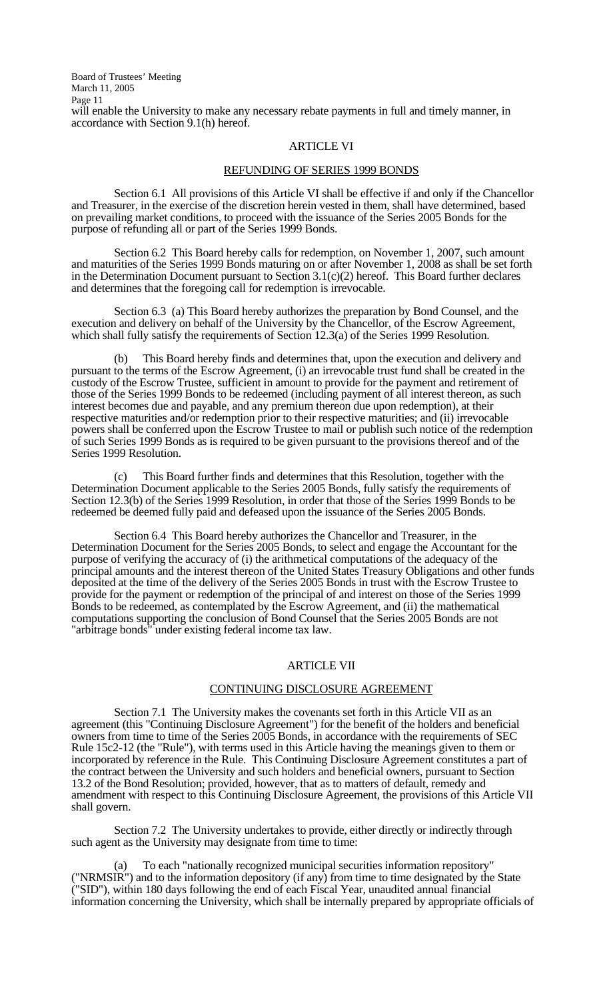Board of Trustees' Meeting March 11, 2005 Page 11 will enable the University to make any necessary rebate payments in full and timely manner, in accordance with Section 9.1(h) hereof.

#### ARTICLE VI

#### REFUNDING OF SERIES 1999 BONDS

 Section 6.1 All provisions of this Article VI shall be effective if and only if the Chancellor and Treasurer, in the exercise of the discretion herein vested in them, shall have determined, based on prevailing market conditions, to proceed with the issuance of the Series 2005 Bonds for the purpose of refunding all or part of the Series 1999 Bonds.

 Section 6.2 This Board hereby calls for redemption, on November 1, 2007, such amount and maturities of the Series 1999 Bonds maturing on or after November 1, 2008 as shall be set forth in the Determination Document pursuant to Section 3.1(c)(2) hereof. This Board further declares and determines that the foregoing call for redemption is irrevocable.

 Section 6.3 (a) This Board hereby authorizes the preparation by Bond Counsel, and the execution and delivery on behalf of the University by the Chancellor, of the Escrow Agreement, which shall fully satisfy the requirements of Section 12.3(a) of the Series 1999 Resolution.

This Board hereby finds and determines that, upon the execution and delivery and pursuant to the terms of the Escrow Agreement, (i) an irrevocable trust fund shall be created in the custody of the Escrow Trustee, sufficient in amount to provide for the payment and retirement of those of the Series 1999 Bonds to be redeemed (including payment of all interest thereon, as such interest becomes due and payable, and any premium thereon due upon redemption), at their respective maturities and/or redemption prior to their respective maturities; and (ii) irrevocable powers shall be conferred upon the Escrow Trustee to mail or publish such notice of the redemption of such Series 1999 Bonds as is required to be given pursuant to the provisions thereof and of the Series 1999 Resolution.

 (c) This Board further finds and determines that this Resolution, together with the Determination Document applicable to the Series 2005 Bonds, fully satisfy the requirements of Section 12.3(b) of the Series 1999 Resolution, in order that those of the Series 1999 Bonds to be redeemed be deemed fully paid and defeased upon the issuance of the Series 2005 Bonds.

 Section 6.4 This Board hereby authorizes the Chancellor and Treasurer, in the Determination Document for the Series 2005 Bonds, to select and engage the Accountant for the purpose of verifying the accuracy of (i) the arithmetical computations of the adequacy of the principal amounts and the interest thereon of the United States Treasury Obligations and other funds deposited at the time of the delivery of the Series 2005 Bonds in trust with the Escrow Trustee to provide for the payment or redemption of the principal of and interest on those of the Series 1999 Bonds to be redeemed, as contemplated by the Escrow Agreement, and (ii) the mathematical computations supporting the conclusion of Bond Counsel that the Series 2005 Bonds are not "arbitrage bonds" under existing federal income tax law.

#### ARTICLE VII

### CONTINUING DISCLOSURE AGREEMENT

 Section 7.1 The University makes the covenants set forth in this Article VII as an agreement (this "Continuing Disclosure Agreement") for the benefit of the holders and beneficial owners from time to time of the Series 2005 Bonds, in accordance with the requirements of SEC Rule 15c2-12 (the "Rule"), with terms used in this Article having the meanings given to them or incorporated by reference in the Rule. This Continuing Disclosure Agreement constitutes a part of the contract between the University and such holders and beneficial owners, pursuant to Section 13.2 of the Bond Resolution; provided, however, that as to matters of default, remedy and amendment with respect to this Continuing Disclosure Agreement, the provisions of this Article VII shall govern.

 Section 7.2 The University undertakes to provide, either directly or indirectly through such agent as the University may designate from time to time:

 (a) To each "nationally recognized municipal securities information repository" ("NRMSIR") and to the information depository (if any) from time to time designated by the State ("SID"), within 180 days following the end of each Fiscal Year, unaudited annual financial information concerning the University, which shall be internally prepared by appropriate officials of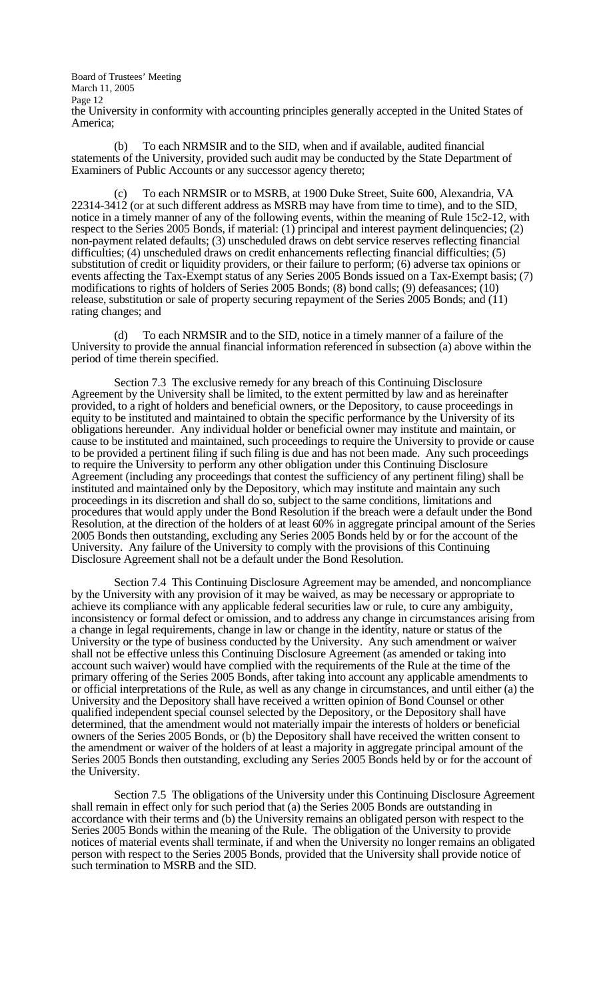Board of Trustees' Meeting March 11, 2005 Page 12 the University in conformity with accounting principles generally accepted in the United States of America;

 (b) To each NRMSIR and to the SID, when and if available, audited financial statements of the University, provided such audit may be conducted by the State Department of Examiners of Public Accounts or any successor agency thereto;

To each NRMSIR or to MSRB, at 1900 Duke Street, Suite 600, Alexandria, VA 22314-3412 (or at such different address as MSRB may have from time to time), and to the SID, notice in a timely manner of any of the following events, within the meaning of Rule 15c2-12, with respect to the Series 2005 Bonds, if material: (1) principal and interest payment delinquencies; (2) non-payment related defaults; (3) unscheduled draws on debt service reserves reflecting financial difficulties; (4) unscheduled draws on credit enhancements reflecting financial difficulties; (5) substitution of credit or liquidity providers, or their failure to perform; (6) adverse tax opinions or events affecting the Tax-Exempt status of any Series 2005 Bonds issued on a Tax-Exempt basis; (7) modifications to rights of holders of Series 2005 Bonds; (8) bond calls; (9) defeasances; (10) release, substitution or sale of property securing repayment of the Series 2005 Bonds; and (11) rating changes; and

 (d) To each NRMSIR and to the SID, notice in a timely manner of a failure of the University to provide the annual financial information referenced in subsection (a) above within the period of time therein specified.

 Section 7.3 The exclusive remedy for any breach of this Continuing Disclosure Agreement by the University shall be limited, to the extent permitted by law and as hereinafter provided, to a right of holders and beneficial owners, or the Depository, to cause proceedings in equity to be instituted and maintained to obtain the specific performance by the University of its obligations hereunder. Any individual holder or beneficial owner may institute and maintain, or cause to be instituted and maintained, such proceedings to require the University to provide or cause to be provided a pertinent filing if such filing is due and has not been made. Any such proceedings to require the University to perform any other obligation under this Continuing Disclosure Agreement (including any proceedings that contest the sufficiency of any pertinent filing) shall be instituted and maintained only by the Depository, which may institute and maintain any such proceedings in its discretion and shall do so, subject to the same conditions, limitations and procedures that would apply under the Bond Resolution if the breach were a default under the Bond Resolution, at the direction of the holders of at least 60% in aggregate principal amount of the Series 2005 Bonds then outstanding, excluding any Series 2005 Bonds held by or for the account of the University. Any failure of the University to comply with the provisions of this Continuing Disclosure Agreement shall not be a default under the Bond Resolution.

 Section 7.4 This Continuing Disclosure Agreement may be amended, and noncompliance by the University with any provision of it may be waived, as may be necessary or appropriate to achieve its compliance with any applicable federal securities law or rule, to cure any ambiguity, inconsistency or formal defect or omission, and to address any change in circumstances arising from a change in legal requirements, change in law or change in the identity, nature or status of the University or the type of business conducted by the University. Any such amendment or waiver shall not be effective unless this Continuing Disclosure Agreement (as amended or taking into account such waiver) would have complied with the requirements of the Rule at the time of the primary offering of the Series 2005 Bonds, after taking into account any applicable amendments to or official interpretations of the Rule, as well as any change in circumstances, and until either (a) the University and the Depository shall have received a written opinion of Bond Counsel or other qualified independent special counsel selected by the Depository, or the Depository shall have determined, that the amendment would not materially impair the interests of holders or beneficial owners of the Series 2005 Bonds, or (b) the Depository shall have received the written consent to the amendment or waiver of the holders of at least a majority in aggregate principal amount of the Series 2005 Bonds then outstanding, excluding any Series 2005 Bonds held by or for the account of the University.

 Section 7.5 The obligations of the University under this Continuing Disclosure Agreement shall remain in effect only for such period that (a) the Series 2005 Bonds are outstanding in accordance with their terms and (b) the University remains an obligated person with respect to the Series 2005 Bonds within the meaning of the Rule. The obligation of the University to provide notices of material events shall terminate, if and when the University no longer remains an obligated person with respect to the Series 2005 Bonds, provided that the University shall provide notice of such termination to MSRB and the SID.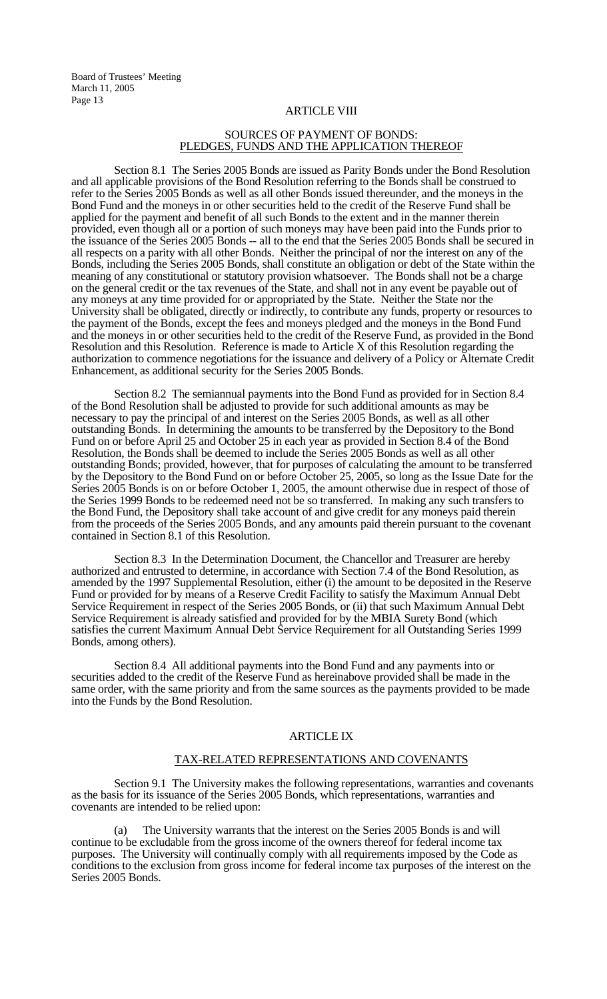### ARTICLE VIII

### SOURCES OF PAYMENT OF BONDS: PLEDGES, FUNDS AND THE APPLICATION THEREOF

 Section 8.1 The Series 2005 Bonds are issued as Parity Bonds under the Bond Resolution and all applicable provisions of the Bond Resolution referring to the Bonds shall be construed to refer to the Series 2005 Bonds as well as all other Bonds issued thereunder, and the moneys in the Bond Fund and the moneys in or other securities held to the credit of the Reserve Fund shall be applied for the payment and benefit of all such Bonds to the extent and in the manner therein provided, even though all or a portion of such moneys may have been paid into the Funds prior to the issuance of the Series 2005 Bonds -- all to the end that the Series 2005 Bonds shall be secured in all respects on a parity with all other Bonds. Neither the principal of nor the interest on any of the Bonds, including the Series 2005 Bonds, shall constitute an obligation or debt of the State within the meaning of any constitutional or statutory provision whatsoever. The Bonds shall not be a charge on the general credit or the tax revenues of the State, and shall not in any event be payable out of any moneys at any time provided for or appropriated by the State. Neither the State nor the University shall be obligated, directly or indirectly, to contribute any funds, property or resources to the payment of the Bonds, except the fees and moneys pledged and the moneys in the Bond Fund and the moneys in or other securities held to the credit of the Reserve Fund, as provided in the Bond Resolution and this Resolution. Reference is made to Article X of this Resolution regarding the authorization to commence negotiations for the issuance and delivery of a Policy or Alternate Credit Enhancement, as additional security for the Series 2005 Bonds.

 Section 8.2 The semiannual payments into the Bond Fund as provided for in Section 8.4 of the Bond Resolution shall be adjusted to provide for such additional amounts as may be necessary to pay the principal of and interest on the Series 2005 Bonds, as well as all other outstanding Bonds. In determining the amounts to be transferred by the Depository to the Bond Fund on or before April 25 and October 25 in each year as provided in Section 8.4 of the Bond Resolution, the Bonds shall be deemed to include the Series 2005 Bonds as well as all other outstanding Bonds; provided, however, that for purposes of calculating the amount to be transferred by the Depository to the Bond Fund on or before October 25, 2005, so long as the Issue Date for the Series 2005 Bonds is on or before October 1, 2005, the amount otherwise due in respect of those of the Series 1999 Bonds to be redeemed need not be so transferred. In making any such transfers to the Bond Fund, the Depository shall take account of and give credit for any moneys paid therein from the proceeds of the Series 2005 Bonds, and any amounts paid therein pursuant to the covenant contained in Section 8.1 of this Resolution.

 Section 8.3 In the Determination Document, the Chancellor and Treasurer are hereby authorized and entrusted to determine, in accordance with Section 7.4 of the Bond Resolution, as amended by the 1997 Supplemental Resolution, either (i) the amount to be deposited in the Reserve Fund or provided for by means of a Reserve Credit Facility to satisfy the Maximum Annual Debt Service Requirement in respect of the Series 2005 Bonds, or (ii) that such Maximum Annual Debt Service Requirement is already satisfied and provided for by the MBIA Surety Bond (which satisfies the current Maximum Annual Debt Service Requirement for all Outstanding Series 1999 Bonds, among others).

 Section 8.4 All additional payments into the Bond Fund and any payments into or securities added to the credit of the Reserve Fund as hereinabove provided shall be made in the same order, with the same priority and from the same sources as the payments provided to be made into the Funds by the Bond Resolution.

### ARTICLE IX

#### TAX-RELATED REPRESENTATIONS AND COVENANTS

 Section 9.1 The University makes the following representations, warranties and covenants as the basis for its issuance of the Series 2005 Bonds, which representations, warranties and covenants are intended to be relied upon:

 (a) The University warrants that the interest on the Series 2005 Bonds is and will continue to be excludable from the gross income of the owners thereof for federal income tax purposes. The University will continually comply with all requirements imposed by the Code as conditions to the exclusion from gross income for federal income tax purposes of the interest on the Series 2005 Bonds.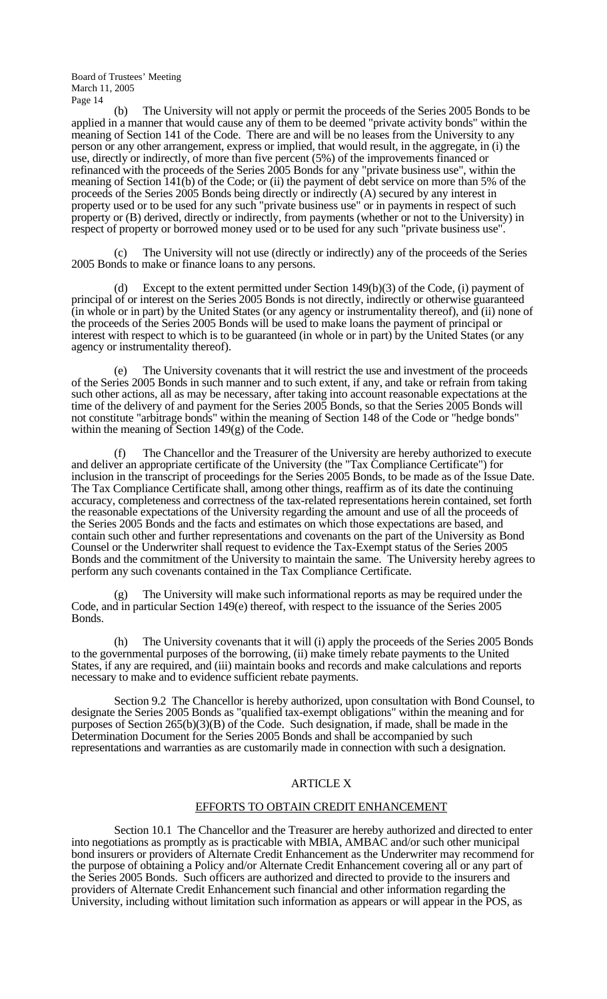(b) The University will not apply or permit the proceeds of the Series 2005 Bonds to be applied in a manner that would cause any of them to be deemed "private activity bonds" within the meaning of Section 141 of the Code. There are and will be no leases from the University to any person or any other arrangement, express or implied, that would result, in the aggregate, in (i) the use, directly or indirectly, of more than five percent (5%) of the improvements financed or refinanced with the proceeds of the Series 2005 Bonds for any "private business use", within the meaning of Section 141(b) of the Code; or (ii) the payment of debt service on more than 5% of the proceeds of the Series 2005 Bonds being directly or indirectly (A) secured by any interest in property used or to be used for any such "private business use" or in payments in respect of such property or (B) derived, directly or indirectly, from payments (whether or not to the University) in respect of property or borrowed money used or to be used for any such "private business use".

 (c) The University will not use (directly or indirectly) any of the proceeds of the Series 2005 Bonds to make or finance loans to any persons.

Except to the extent permitted under Section  $149(b)(3)$  of the Code, (i) payment of principal of or interest on the Series 2005 Bonds is not directly, indirectly or otherwise guaranteed (in whole or in part) by the United States (or any agency or instrumentality thereof), and (ii) none of the proceeds of the Series 2005 Bonds will be used to make loans the payment of principal or interest with respect to which is to be guaranteed (in whole or in part) by the United States (or any agency or instrumentality thereof).

 (e) The University covenants that it will restrict the use and investment of the proceeds of the Series 2005 Bonds in such manner and to such extent, if any, and take or refrain from taking such other actions, all as may be necessary, after taking into account reasonable expectations at the time of the delivery of and payment for the Series 2005 Bonds, so that the Series 2005 Bonds will not constitute "arbitrage bonds" within the meaning of Section 148 of the Code or "hedge bonds" within the meaning of Section 149(g) of the Code.

 (f) The Chancellor and the Treasurer of the University are hereby authorized to execute and deliver an appropriate certificate of the University (the "Tax Compliance Certificate") for inclusion in the transcript of proceedings for the Series 2005 Bonds, to be made as of the Issue Date. The Tax Compliance Certificate shall, among other things, reaffirm as of its date the continuing accuracy, completeness and correctness of the tax-related representations herein contained, set forth the reasonable expectations of the University regarding the amount and use of all the proceeds of the Series 2005 Bonds and the facts and estimates on which those expectations are based, and contain such other and further representations and covenants on the part of the University as Bond Counsel or the Underwriter shall request to evidence the Tax-Exempt status of the Series 2005 Bonds and the commitment of the University to maintain the same. The University hereby agrees to perform any such covenants contained in the Tax Compliance Certificate.

The University will make such informational reports as may be required under the Code, and in particular Section 149(e) thereof, with respect to the issuance of the Series 2005 Bonds.

 (h) The University covenants that it will (i) apply the proceeds of the Series 2005 Bonds to the governmental purposes of the borrowing, (ii) make timely rebate payments to the United States, if any are required, and (iii) maintain books and records and make calculations and reports necessary to make and to evidence sufficient rebate payments.

 Section 9.2 The Chancellor is hereby authorized, upon consultation with Bond Counsel, to designate the Series 2005 Bonds as "qualified tax-exempt obligations" within the meaning and for purposes of Section  $265(b)(3)(B)$  of the Code. Such designation, if made, shall be made in the Determination Document for the Series 2005 Bonds and shall be accompanied by such representations and warranties as are customarily made in connection with such a designation.

### ARTICLE X

### EFFORTS TO OBTAIN CREDIT ENHANCEMENT

 Section 10.1 The Chancellor and the Treasurer are hereby authorized and directed to enter into negotiations as promptly as is practicable with MBIA, AMBAC and/or such other municipal bond insurers or providers of Alternate Credit Enhancement as the Underwriter may recommend for the purpose of obtaining a Policy and/or Alternate Credit Enhancement covering all or any part of the Series 2005 Bonds. Such officers are authorized and directed to provide to the insurers and providers of Alternate Credit Enhancement such financial and other information regarding the University, including without limitation such information as appears or will appear in the POS, as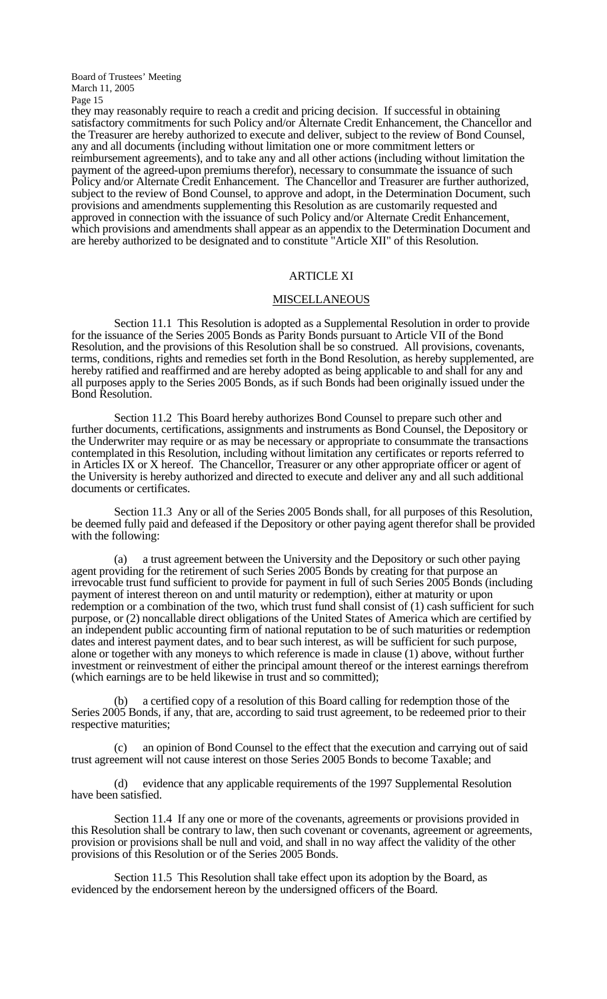they may reasonably require to reach a credit and pricing decision. If successful in obtaining satisfactory commitments for such Policy and/or Alternate Credit Enhancement, the Chancellor and the Treasurer are hereby authorized to execute and deliver, subject to the review of Bond Counsel, any and all documents (including without limitation one or more commitment letters or reimbursement agreements), and to take any and all other actions (including without limitation the payment of the agreed-upon premiums therefor), necessary to consummate the issuance of such Policy and/or Alternate Credit Enhancement. The Chancellor and Treasurer are further authorized, subject to the review of Bond Counsel, to approve and adopt, in the Determination Document, such provisions and amendments supplementing this Resolution as are customarily requested and approved in connection with the issuance of such Policy and/or Alternate Credit Enhancement, which provisions and amendments shall appear as an appendix to the Determination Document and are hereby authorized to be designated and to constitute "Article XII" of this Resolution.

#### ARTICLE XI

#### **MISCELLANEOUS**

 Section 11.1 This Resolution is adopted as a Supplemental Resolution in order to provide for the issuance of the Series 2005 Bonds as Parity Bonds pursuant to Article VII of the Bond Resolution, and the provisions of this Resolution shall be so construed. All provisions, covenants, terms, conditions, rights and remedies set forth in the Bond Resolution, as hereby supplemented, are hereby ratified and reaffirmed and are hereby adopted as being applicable to and shall for any and all purposes apply to the Series 2005 Bonds, as if such Bonds had been originally issued under the Bond Resolution.

 Section 11.2 This Board hereby authorizes Bond Counsel to prepare such other and further documents, certifications, assignments and instruments as Bond Counsel, the Depository or the Underwriter may require or as may be necessary or appropriate to consummate the transactions contemplated in this Resolution, including without limitation any certificates or reports referred to in Articles IX or X hereof. The Chancellor, Treasurer or any other appropriate officer or agent of the University is hereby authorized and directed to execute and deliver any and all such additional documents or certificates.

 Section 11.3 Any or all of the Series 2005 Bonds shall, for all purposes of this Resolution, be deemed fully paid and defeased if the Depository or other paying agent therefor shall be provided with the following:

 (a) a trust agreement between the University and the Depository or such other paying agent providing for the retirement of such Series 2005 Bonds by creating for that purpose an irrevocable trust fund sufficient to provide for payment in full of such Series 2005 Bonds (including payment of interest thereon on and until maturity or redemption), either at maturity or upon redemption or a combination of the two, which trust fund shall consist of (1) cash sufficient for such purpose, or (2) noncallable direct obligations of the United States of America which are certified by an independent public accounting firm of national reputation to be of such maturities or redemption dates and interest payment dates, and to bear such interest, as will be sufficient for such purpose, alone or together with any moneys to which reference is made in clause (1) above, without further investment or reinvestment of either the principal amount thereof or the interest earnings therefrom (which earnings are to be held likewise in trust and so committed);

a certified copy of a resolution of this Board calling for redemption those of the Series 2005 Bonds, if any, that are, according to said trust agreement, to be redeemed prior to their respective maturities;

 (c) an opinion of Bond Counsel to the effect that the execution and carrying out of said trust agreement will not cause interest on those Series 2005 Bonds to become Taxable; and

 (d) evidence that any applicable requirements of the 1997 Supplemental Resolution have been satisfied.

 Section 11.4 If any one or more of the covenants, agreements or provisions provided in this Resolution shall be contrary to law, then such covenant or covenants, agreement or agreements, provision or provisions shall be null and void, and shall in no way affect the validity of the other provisions of this Resolution or of the Series 2005 Bonds.

 Section 11.5 This Resolution shall take effect upon its adoption by the Board, as evidenced by the endorsement hereon by the undersigned officers of the Board.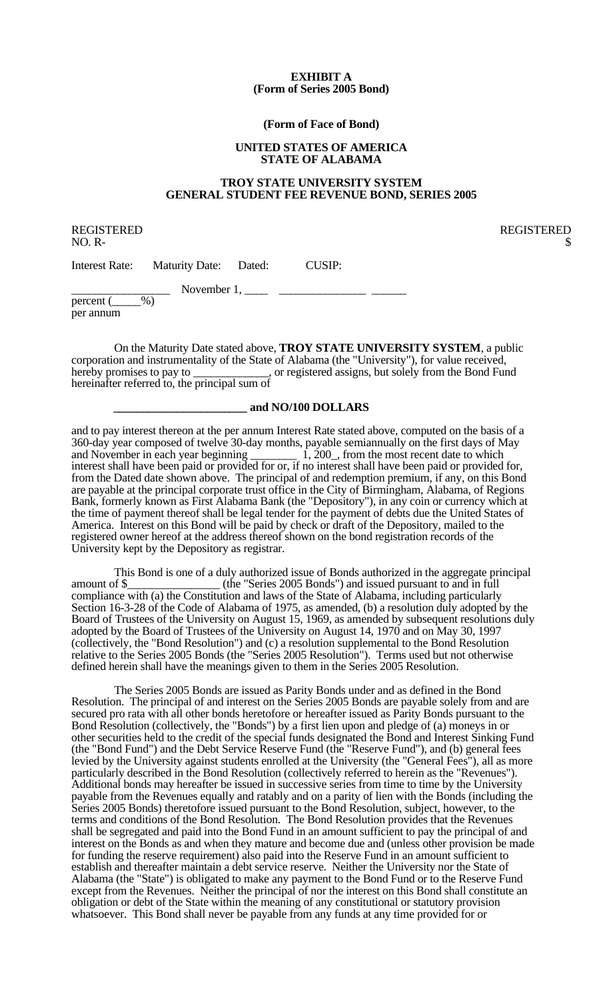#### **EXHIBIT A (Form of Series 2005 Bond)**

#### **(Form of Face of Bond)**

#### **UNITED STATES OF AMERICA STATE OF ALABAMA**

### **TROY STATE UNIVERSITY SYSTEM GENERAL STUDENT FEE REVENUE BOND, SERIES 2005**

REGISTERED REGISTERED  $NO. R-$ 

Interest Rate: Maturity Date: Dated: CUSIP:

 $\frac{1}{\text{percent}(\_\_\%)}$  November 1,  $\_\_\$ 

per annum

 On the Maturity Date stated above, **TROY STATE UNIVERSITY SYSTEM**, a public corporation and instrumentality of the State of Alabama (the "University"), for value received, hereby promises to pay to \_\_\_\_\_\_\_\_\_\_\_\_, or registered assigns, but solely from the Bond Fund hereinafter referred to, the principal sum of

### **\_\_\_\_\_\_\_\_\_\_\_\_\_\_\_\_\_\_\_\_\_\_\_ and NO/100 DOLLARS**

and to pay interest thereon at the per annum Interest Rate stated above, computed on the basis of a 360-day year composed of twelve 30-day months, payable semiannually on the first days of May and November in each year beginning  $\frac{1}{1}$ , 200, from the most recent date to which interest shall have been paid or provided for or, if no interest shall have been paid or provided for, from the Dated date shown above. The principal of and redemption premium, if any, on this Bond are payable at the principal corporate trust office in the City of Birmingham, Alabama, of Regions Bank, formerly known as First Alabama Bank (the "Depository"), in any coin or currency which at the time of payment thereof shall be legal tender for the payment of debts due the United States of America. Interest on this Bond will be paid by check or draft of the Depository, mailed to the registered owner hereof at the address thereof shown on the bond registration records of the University kept by the Depository as registrar.

This Bond is one of a duly authorized issue of Bonds authorized in the aggregate principal amount of \$ (the "Series 2005 Bonds") and issued pursuant to and in full  $_$  (the "Series 2005 Bonds") and issued pursuant to and in full compliance with (a) the Constitution and laws of the State of Alabama, including particularly Section 16-3-28 of the Code of Alabama of 1975, as amended, (b) a resolution duly adopted by the Board of Trustees of the University on August 15, 1969, as amended by subsequent resolutions duly adopted by the Board of Trustees of the University on August 14, 1970 and on May 30, 1997 (collectively, the "Bond Resolution") and (c) a resolution supplemental to the Bond Resolution relative to the Series 2005 Bonds (the "Series 2005 Resolution"). Terms used but not otherwise defined herein shall have the meanings given to them in the Series 2005 Resolution.

 The Series 2005 Bonds are issued as Parity Bonds under and as defined in the Bond Resolution. The principal of and interest on the Series 2005 Bonds are payable solely from and are secured pro rata with all other bonds heretofore or hereafter issued as Parity Bonds pursuant to the Bond Resolution (collectively, the "Bonds") by a first lien upon and pledge of (a) moneys in or other securities held to the credit of the special funds designated the Bond and Interest Sinking Fund (the "Bond Fund") and the Debt Service Reserve Fund (the "Reserve Fund"), and (b) general fees levied by the University against students enrolled at the University (the "General Fees"), all as more particularly described in the Bond Resolution (collectively referred to herein as the "Revenues"). Additional bonds may hereafter be issued in successive series from time to time by the University payable from the Revenues equally and ratably and on a parity of lien with the Bonds (including the Series 2005 Bonds) theretofore issued pursuant to the Bond Resolution, subject, however, to the terms and conditions of the Bond Resolution. The Bond Resolution provides that the Revenues shall be segregated and paid into the Bond Fund in an amount sufficient to pay the principal of and interest on the Bonds as and when they mature and become due and (unless other provision be made for funding the reserve requirement) also paid into the Reserve Fund in an amount sufficient to establish and thereafter maintain a debt service reserve. Neither the University nor the State of Alabama (the "State") is obligated to make any payment to the Bond Fund or to the Reserve Fund except from the Revenues. Neither the principal of nor the interest on this Bond shall constitute an obligation or debt of the State within the meaning of any constitutional or statutory provision whatsoever. This Bond shall never be payable from any funds at any time provided for or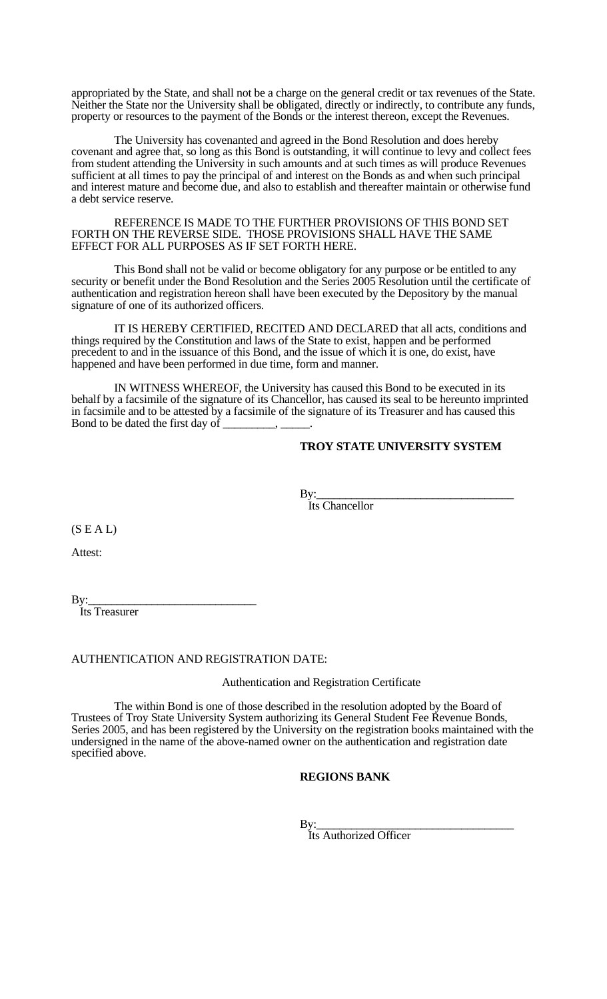appropriated by the State, and shall not be a charge on the general credit or tax revenues of the State. Neither the State nor the University shall be obligated, directly or indirectly, to contribute any funds, property or resources to the payment of the Bonds or the interest thereon, except the Revenues.

 The University has covenanted and agreed in the Bond Resolution and does hereby covenant and agree that, so long as this Bond is outstanding, it will continue to levy and collect fees from student attending the University in such amounts and at such times as will produce Revenues sufficient at all times to pay the principal of and interest on the Bonds as and when such principal and interest mature and become due, and also to establish and thereafter maintain or otherwise fund a debt service reserve.

 REFERENCE IS MADE TO THE FURTHER PROVISIONS OF THIS BOND SET FORTH ON THE REVERSE SIDE. THOSE PROVISIONS SHALL HAVE THE SAME EFFECT FOR ALL PURPOSES AS IF SET FORTH HERE.

 This Bond shall not be valid or become obligatory for any purpose or be entitled to any security or benefit under the Bond Resolution and the Series 2005 Resolution until the certificate of authentication and registration hereon shall have been executed by the Depository by the manual signature of one of its authorized officers.

 IT IS HEREBY CERTIFIED, RECITED AND DECLARED that all acts, conditions and things required by the Constitution and laws of the State to exist, happen and be performed precedent to and in the issuance of this Bond, and the issue of which it is one, do exist, have happened and have been performed in due time, form and manner.

 IN WITNESS WHEREOF, the University has caused this Bond to be executed in its behalf by a facsimile of the signature of its Chancellor, has caused its seal to be hereunto imprinted in facsimile and to be attested by a facsimile of the signature of its Treasurer and has caused this Bond to be dated the first day of

## **TROY STATE UNIVERSITY SYSTEM**

By:<br>Its Chancellor

 $(S E A L)$ 

Attest:

By:\_\_\_\_\_\_\_\_\_\_\_\_\_\_\_\_\_\_\_\_\_\_\_\_\_\_\_\_\_ Its Treasurer

### AUTHENTICATION AND REGISTRATION DATE:

Authentication and Registration Certificate

 The within Bond is one of those described in the resolution adopted by the Board of Trustees of Troy State University System authorizing its General Student Fee Revenue Bonds, Series 2005, and has been registered by the University on the registration books maintained with the undersigned in the name of the above-named owner on the authentication and registration date specified above.

### **REGIONS BANK**

By:<br>Its Authorized Officer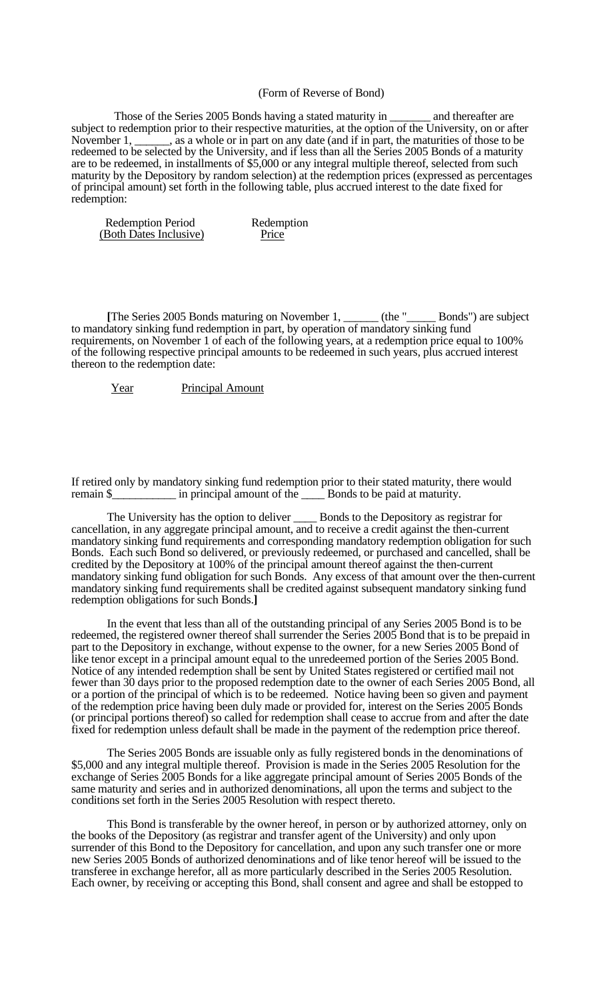#### (Form of Reverse of Bond)

 Those of the Series 2005 Bonds having a stated maturity in \_\_\_\_\_\_\_ and thereafter are subject to redemption prior to their respective maturities, at the option of the University, on or after November 1, \_\_\_\_\_, as a whole or in part on any date (and if in part, the maturities of those to be redeemed to be selected by the University, and if less than all the Series 2005 Bonds of a maturity are to be redeemed, in installments of \$5,000 or any integral multiple thereof, selected from such maturity by the Depository by random selection) at the redemption prices (expressed as percentages of principal amount) set forth in the following table, plus accrued interest to the date fixed for redemption:

| <b>Redemption Period</b> | Redemption |
|--------------------------|------------|
| (Both Dates Inclusive)   | Price      |

 **[**The Series 2005 Bonds maturing on November 1, \_\_\_\_\_\_ (the "\_\_\_\_\_ Bonds") are subject to mandatory sinking fund redemption in part, by operation of mandatory sinking fund requirements, on November 1 of each of the following years, at a redemption price equal to 100% of the following respective principal amounts to be redeemed in such years, plus accrued interest thereon to the redemption date:

Year Principal Amount

If retired only by mandatory sinking fund redemption prior to their stated maturity, there would remain \$\_\_\_\_\_\_\_\_\_\_\_ in principal amount of the \_\_\_\_ Bonds to be paid at maturity.

The University has the option to deliver \_\_\_\_\_\_ Bonds to the Depository as registrar for cancellation, in any aggregate principal amount, and to receive a credit against the then-current mandatory sinking fund requirements and corresponding mandatory redemption obligation for such Bonds. Each such Bond so delivered, or previously redeemed, or purchased and cancelled, shall be credited by the Depository at 100% of the principal amount thereof against the then-current mandatory sinking fund obligation for such Bonds. Any excess of that amount over the then-current mandatory sinking fund requirements shall be credited against subsequent mandatory sinking fund redemption obligations for such Bonds.**]**

 In the event that less than all of the outstanding principal of any Series 2005 Bond is to be redeemed, the registered owner thereof shall surrender the Series 2005 Bond that is to be prepaid in part to the Depository in exchange, without expense to the owner, for a new Series 2005 Bond of like tenor except in a principal amount equal to the unredeemed portion of the Series 2005 Bond. Notice of any intended redemption shall be sent by United States registered or certified mail not fewer than 30 days prior to the proposed redemption date to the owner of each Series 2005 Bond, all or a portion of the principal of which is to be redeemed. Notice having been so given and payment of the redemption price having been duly made or provided for, interest on the Series 2005 Bonds (or principal portions thereof) so called for redemption shall cease to accrue from and after the date fixed for redemption unless default shall be made in the payment of the redemption price thereof.

 The Series 2005 Bonds are issuable only as fully registered bonds in the denominations of \$5,000 and any integral multiple thereof. Provision is made in the Series 2005 Resolution for the exchange of Series 2005 Bonds for a like aggregate principal amount of Series 2005 Bonds of the same maturity and series and in authorized denominations, all upon the terms and subject to the conditions set forth in the Series 2005 Resolution with respect thereto.

 This Bond is transferable by the owner hereof, in person or by authorized attorney, only on the books of the Depository (as registrar and transfer agent of the University) and only upon surrender of this Bond to the Depository for cancellation, and upon any such transfer one or more new Series 2005 Bonds of authorized denominations and of like tenor hereof will be issued to the transferee in exchange herefor, all as more particularly described in the Series 2005 Resolution. Each owner, by receiving or accepting this Bond, shall consent and agree and shall be estopped to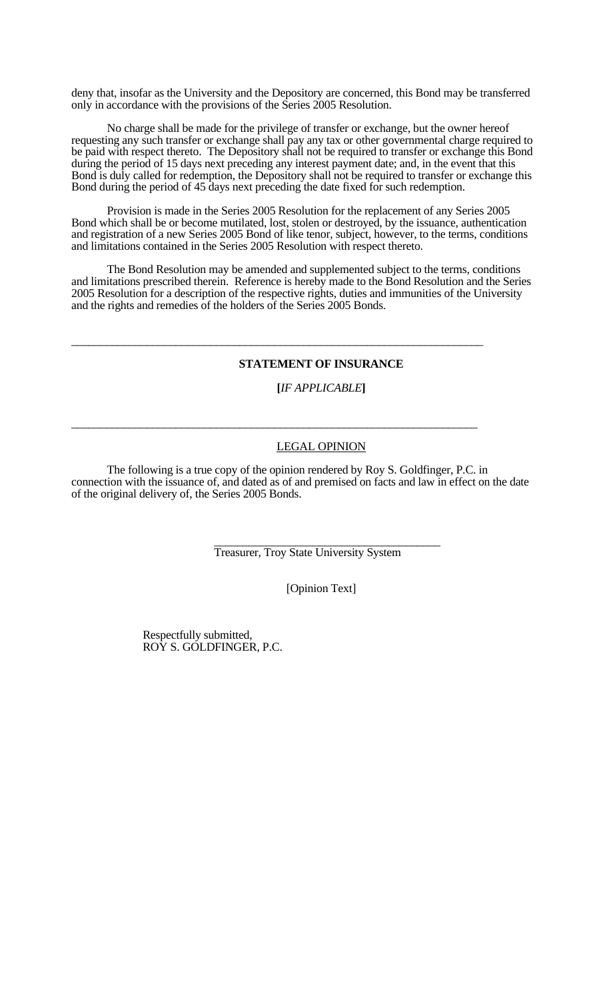deny that, insofar as the University and the Depository are concerned, this Bond may be transferred only in accordance with the provisions of the Series 2005 Resolution.

 No charge shall be made for the privilege of transfer or exchange, but the owner hereof requesting any such transfer or exchange shall pay any tax or other governmental charge required to be paid with respect thereto. The Depository shall not be required to transfer or exchange this Bond during the period of 15 days next preceding any interest payment date; and, in the event that this Bond is duly called for redemption, the Depository shall not be required to transfer or exchange this Bond during the period of 45 days next preceding the date fixed for such redemption.

 Provision is made in the Series 2005 Resolution for the replacement of any Series 2005 Bond which shall be or become mutilated, lost, stolen or destroyed, by the issuance, authentication and registration of a new Series 2005 Bond of like tenor, subject, however, to the terms, conditions and limitations contained in the Series 2005 Resolution with respect thereto.

 The Bond Resolution may be amended and supplemented subject to the terms, conditions and limitations prescribed therein. Reference is hereby made to the Bond Resolution and the Series 2005 Resolution for a description of the respective rights, duties and immunities of the University and the rights and remedies of the holders of the Series 2005 Bonds.

\_\_\_\_\_\_\_\_\_\_\_\_\_\_\_\_\_\_\_\_\_\_\_\_\_\_\_\_\_\_\_\_\_\_\_\_\_\_\_\_\_\_\_\_\_\_\_\_\_\_\_\_\_\_\_\_\_\_\_\_\_\_\_\_\_\_\_\_\_\_\_

\_\_\_\_\_\_\_\_\_\_\_\_\_\_\_\_\_\_\_\_\_\_\_\_\_\_\_\_\_\_\_\_\_\_\_\_\_\_\_\_\_\_\_\_\_\_\_\_\_\_\_\_\_\_\_\_\_\_\_\_\_\_\_\_\_\_\_\_\_\_

## **STATEMENT OF INSURANCE**

 **[***IF APPLICABLE***]**

### LEGAL OPINION

 The following is a true copy of the opinion rendered by Roy S. Goldfinger, P.C. in connection with the issuance of, and dated as of and premised on facts and law in effect on the date of the original delivery of, the Series 2005 Bonds.

Treasurer, Troy State University System

[Opinion Text]

 Respectfully submitted, ROY S. GOLDFINGER, P.C.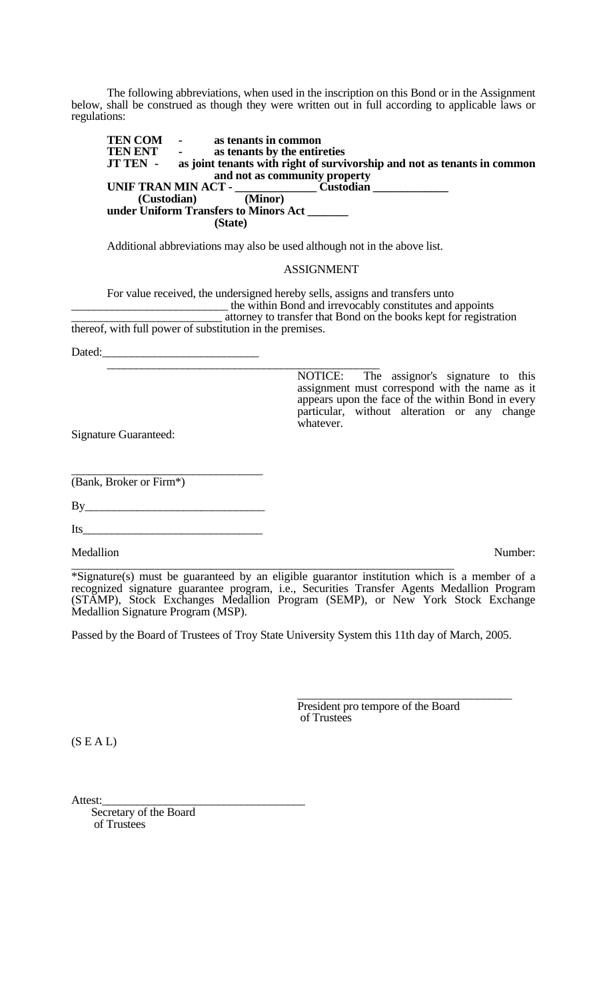The following abbreviations, when used in the inscription on this Bond or in the Assignment below, shall be construed as though they were written out in full according to applicable laws or regulations:

 **TEN COM - as tenants in common TEN ENT** - as tenants by the entireties<br>**JT TEN** - as joint tenants with right of survi as joint tenants with right of survivorship and not as tenants in common **and not as community property UNIF TRAN MIN ACT -**  $\frac{1}{\text{(Custodian)}}$  **under Uniform Transfers to Minors Act \_\_\_\_\_\_\_ (State)**

Additional abbreviations may also be used although not in the above list.

#### ASSIGNMENT

For value received, the undersigned hereby sells, assigns and transfers unto<br>the within Bond and irrevocably constitutes and appoints attorney to transfer that Bond on the books kept for registration thereof, with full power of substitution in the premises.

Dated:\_\_\_\_\_\_\_\_\_\_\_\_\_\_\_\_\_\_\_\_\_\_\_\_\_\_\_ \_\_\_\_\_\_\_\_\_\_\_\_\_\_\_\_\_\_\_\_\_\_\_\_\_\_\_\_\_\_\_\_\_\_\_\_\_\_\_\_\_\_\_\_\_\_\_ NOTICE: The assignor's signature to this assignment must correspond with the name as it appears upon the face of the within Bond in every particular, without alteration or any change whatever.

Signature Guaranteed:

 $\overline{\phantom{a}}$  , where  $\overline{\phantom{a}}$  , where  $\overline{\phantom{a}}$  ,  $\overline{\phantom{a}}$  ,  $\overline{\phantom{a}}$  ,  $\overline{\phantom{a}}$  ,  $\overline{\phantom{a}}$  ,  $\overline{\phantom{a}}$  ,  $\overline{\phantom{a}}$  ,  $\overline{\phantom{a}}$  ,  $\overline{\phantom{a}}$  ,  $\overline{\phantom{a}}$  ,  $\overline{\phantom{a}}$  ,  $\overline{\phantom{a}}$  ,  $\overline{\phantom{a}}$  , (Bank, Broker or Firm\*)

 $By$ 

 $Its$ 

Medallion Number:

\_\_\_\_\_\_\_\_\_\_\_\_\_\_\_\_\_\_\_\_\_\_\_\_\_\_\_\_\_\_\_\_\_\_\_\_\_\_\_\_\_\_\_\_\_\_\_\_\_\_\_\_\_\_\_\_\_\_\_\_\_\_\_\_\_\_ \*Signature(s) must be guaranteed by an eligible guarantor institution which is a member of a recognized signature guarantee program, i.e., Securities Transfer Agents Medallion Program (STAMP), Stock Exchanges Medallion Program (SEMP), or New York Stock Exchange Medallion Signature Program (MSP).

Passed by the Board of Trustees of Troy State University System this 11th day of March, 2005.

President pro tempore of the Board<br>of Trustees

 $(S E A L)$ 

Attest:<br>Secretary of the Board of Trustees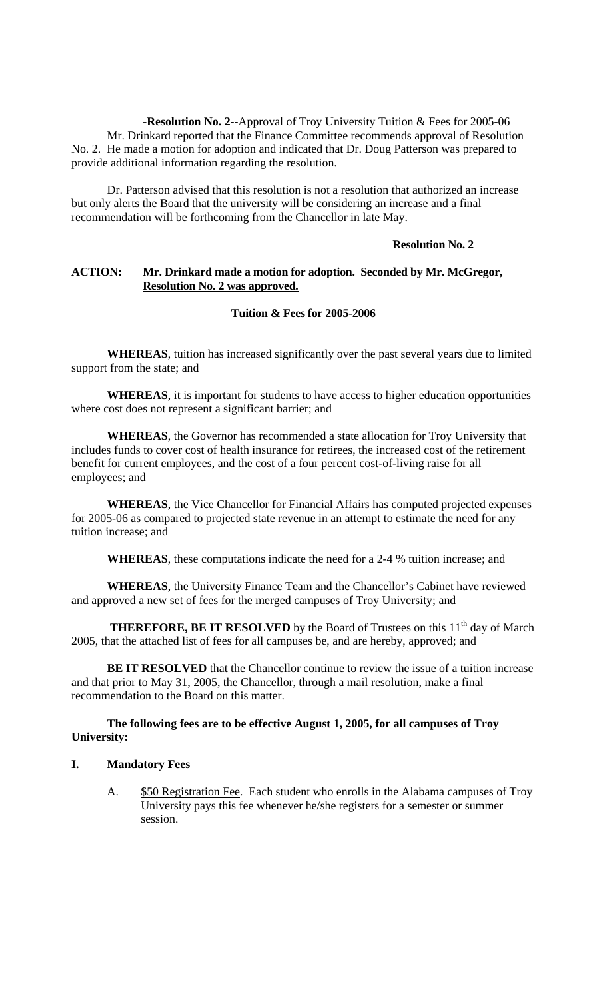-**Resolution No. 2--**Approval of Troy University Tuition & Fees for 2005-06 Mr. Drinkard reported that the Finance Committee recommends approval of Resolution No. 2. He made a motion for adoption and indicated that Dr. Doug Patterson was prepared to provide additional information regarding the resolution.

 Dr. Patterson advised that this resolution is not a resolution that authorized an increase but only alerts the Board that the university will be considering an increase and a final recommendation will be forthcoming from the Chancellor in late May.

### **Resolution No. 2**

## **ACTION: Mr. Drinkard made a motion for adoption. Seconded by Mr. McGregor, Resolution No. 2 was approved.**

## **Tuition & Fees for 2005-2006**

**WHEREAS**, tuition has increased significantly over the past several years due to limited support from the state; and

**WHEREAS**, it is important for students to have access to higher education opportunities where cost does not represent a significant barrier; and

**WHEREAS**, the Governor has recommended a state allocation for Troy University that includes funds to cover cost of health insurance for retirees, the increased cost of the retirement benefit for current employees, and the cost of a four percent cost-of-living raise for all employees; and

**WHEREAS**, the Vice Chancellor for Financial Affairs has computed projected expenses for 2005-06 as compared to projected state revenue in an attempt to estimate the need for any tuition increase; and

**WHEREAS**, these computations indicate the need for a 2-4 % tuition increase; and

**WHEREAS**, the University Finance Team and the Chancellor's Cabinet have reviewed and approved a new set of fees for the merged campuses of Troy University; and

**THEREFORE, BE IT RESOLVED** by the Board of Trustees on this 11<sup>th</sup> day of March 2005, that the attached list of fees for all campuses be, and are hereby, approved; and

**BE IT RESOLVED** that the Chancellor continue to review the issue of a tuition increase and that prior to May 31, 2005, the Chancellor, through a mail resolution, make a final recommendation to the Board on this matter.

## **The following fees are to be effective August 1, 2005, for all campuses of Troy University:**

## **I. Mandatory Fees**

A. \$50 Registration Fee. Each student who enrolls in the Alabama campuses of Troy University pays this fee whenever he/she registers for a semester or summer session.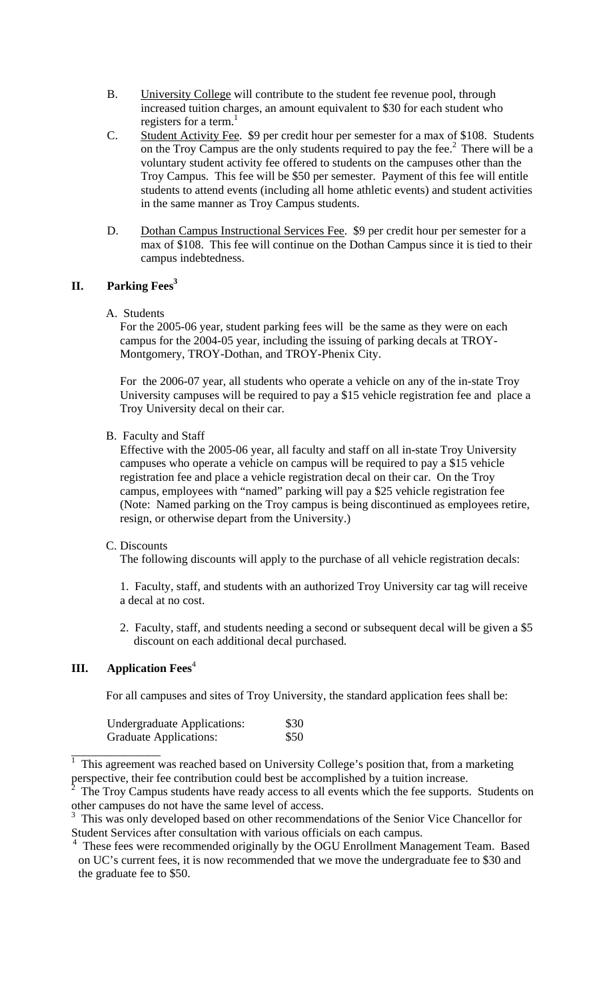- B. University College will contribute to the student fee revenue pool, through increased tuition charges, an amount equivalent to \$30 for each student who registers for a term. $<sup>1</sup>$ </sup>
- C. Student Activity Fee. \$9 per credit hour per semester for a max of \$108. Students on the Troy Campus are the only students required to pay the fee. $<sup>2</sup>$  There will be a</sup> voluntary student activity fee offered to students on the campuses other than the Troy Campus. This fee will be \$50 per semester. Payment of this fee will entitle students to attend events (including all home athletic events) and student activities in the same manner as Troy Campus students.
- D. Dothan Campus Instructional Services Fee. \$9 per credit hour per semester for a max of \$108. This fee will continue on the Dothan Campus since it is tied to their campus indebtedness.

# **II. Parking Fees3**

## A. Students

For the 2005-06 year, student parking fees will be the same as they were on each campus for the 2004-05 year, including the issuing of parking decals at TROY-Montgomery, TROY-Dothan, and TROY-Phenix City.

For the 2006-07 year, all students who operate a vehicle on any of the in-state Troy University campuses will be required to pay a \$15 vehicle registration fee and place a Troy University decal on their car.

## B. Faculty and Staff

Effective with the 2005-06 year, all faculty and staff on all in-state Troy University campuses who operate a vehicle on campus will be required to pay a \$15 vehicle registration fee and place a vehicle registration decal on their car. On the Troy campus, employees with "named" parking will pay a \$25 vehicle registration fee (Note: Named parking on the Troy campus is being discontinued as employees retire, resign, or otherwise depart from the University.)

## C. Discounts

The following discounts will apply to the purchase of all vehicle registration decals:

1. Faculty, staff, and students with an authorized Troy University car tag will receive a decal at no cost.

2. Faculty, staff, and students needing a second or subsequent decal will be given a \$5 discount on each additional decal purchased.

## **III.** Application Fees<sup>4</sup>

For all campuses and sites of Troy University, the standard application fees shall be:

| <b>Undergraduate Applications:</b> | \$30 |
|------------------------------------|------|
| <b>Graduate Applications:</b>      | \$50 |

 $\frac{1}{1}$  This agreement was reached based on University College's position that, from a marketing perspective, their fee contribution could best be accomplished by a tuition increase.<br><sup>2</sup> The Tray Campus students have ready access to all quants which the fee supports.

The Troy Campus students have ready access to all events which the fee supports. Students on other campuses do not have the same level of access.<br><sup>3</sup> This was only developed based on other recommendations of the Senior Vice Chancellor for

Student Services after consultation with various officials on each campus.<br><sup>4</sup> These fees were recommended critinally by the OGU Enrollment Mana

These fees were recommended originally by the OGU Enrollment Management Team. Based on UC's current fees, it is now recommended that we move the undergraduate fee to \$30 and the graduate fee to \$50.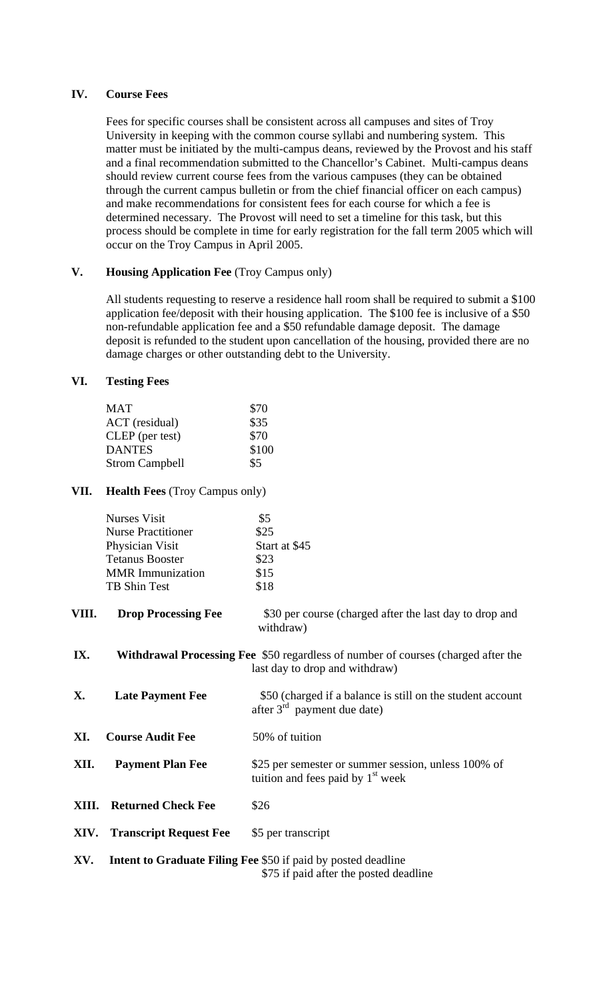## **IV. Course Fees**

 Fees for specific courses shall be consistent across all campuses and sites of Troy University in keeping with the common course syllabi and numbering system. This matter must be initiated by the multi-campus deans, reviewed by the Provost and his staff and a final recommendation submitted to the Chancellor's Cabinet. Multi-campus deans should review current course fees from the various campuses (they can be obtained through the current campus bulletin or from the chief financial officer on each campus) and make recommendations for consistent fees for each course for which a fee is determined necessary. The Provost will need to set a timeline for this task, but this process should be complete in time for early registration for the fall term 2005 which will occur on the Troy Campus in April 2005.

# **V. Housing Application Fee** (Troy Campus only)

 All students requesting to reserve a residence hall room shall be required to submit a \$100 application fee/deposit with their housing application. The \$100 fee is inclusive of a \$50 non-refundable application fee and a \$50 refundable damage deposit. The damage deposit is refunded to the student upon cancellation of the housing, provided there are no damage charges or other outstanding debt to the University.

# **VI. Testing Fees**

| MAT                   | \$70  |
|-----------------------|-------|
| ACT (residual)        | \$35  |
| CLEP (per test)       | \$70  |
| <b>DANTES</b>         | \$100 |
| <b>Strom Campbell</b> | \$5   |

# **VII. Health Fees** (Troy Campus only)

| <b>Nurses Visit</b>       | \$5           |
|---------------------------|---------------|
| <b>Nurse Practitioner</b> | \$25          |
| Physician Visit           | Start at \$45 |
| <b>Tetanus Booster</b>    | \$23          |
| <b>MMR</b> Immunization   | \$15          |
| TB Shin Test              | \$18          |

- **VIII.** Drop Processing Fee  $$30$  per course (charged after the last day to drop and withdraw)
- **IX. Withdrawal Processing Fee** \$50 regardless of number of courses (charged after the last day to drop and withdraw)

**X.** Late Payment Fee  $$50$  (charged if a balance is still on the student account after  $3<sup>rd</sup>$  payment due date)

**XI.** Course Audit Fee 50% of tuition

**XII. Payment Plan Fee** \$25 per semester or summer session, unless 100% of tuition and fees paid by  $1<sup>st</sup>$  week

**XIII.** Returned Check Fee \$26

**XIV. Transcript Request Fee** \$5 per transcript

```
XV. Intent to Graduate Filing Fee $50 if paid by posted deadline 
                           $75 if paid after the posted deadline
```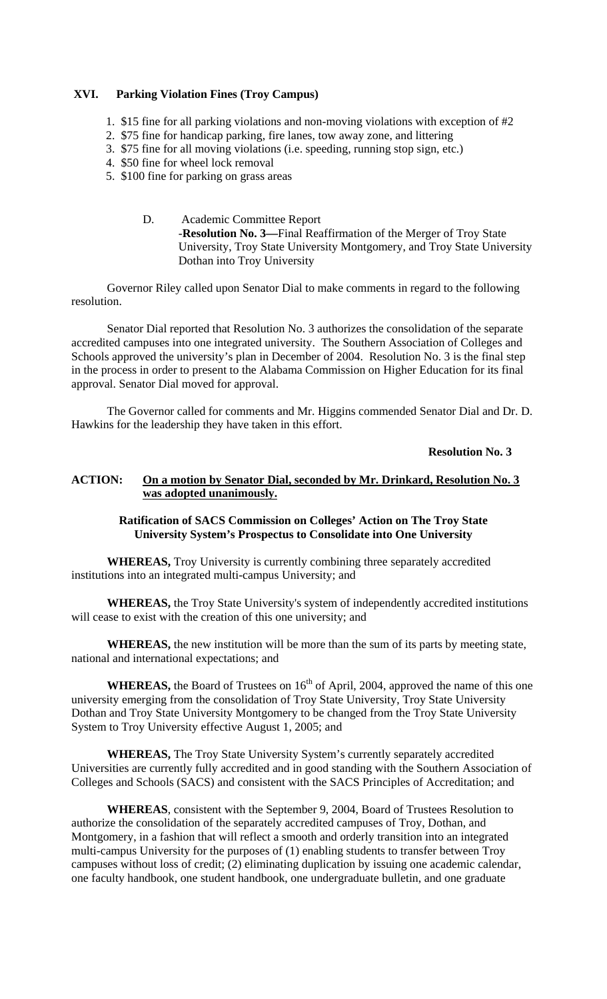## **XVI. Parking Violation Fines (Troy Campus)**

- 1. \$15 fine for all parking violations and non-moving violations with exception of #2
- 2. \$75 fine for handicap parking, fire lanes, tow away zone, and littering
- 3. \$75 fine for all moving violations (i.e. speeding, running stop sign, etc.)
- 4. \$50 fine for wheel lock removal
- 5. \$100 fine for parking on grass areas
	- D. Academic Committee Report -**Resolution No. 3—**Final Reaffirmation of the Merger of Troy State University, Troy State University Montgomery, and Troy State University Dothan into Troy University

 Governor Riley called upon Senator Dial to make comments in regard to the following resolution.

 Senator Dial reported that Resolution No. 3 authorizes the consolidation of the separate accredited campuses into one integrated university. The Southern Association of Colleges and Schools approved the university's plan in December of 2004. Resolution No. 3 is the final step in the process in order to present to the Alabama Commission on Higher Education for its final approval. Senator Dial moved for approval.

 The Governor called for comments and Mr. Higgins commended Senator Dial and Dr. D. Hawkins for the leadership they have taken in this effort.

## **Resolution No. 3**

## **ACTION: On a motion by Senator Dial, seconded by Mr. Drinkard, Resolution No. 3 was adopted unanimously.**

# **Ratification of SACS Commission on Colleges' Action on The Troy State University System's Prospectus to Consolidate into One University**

**WHEREAS,** Troy University is currently combining three separately accredited institutions into an integrated multi-campus University; and

**WHEREAS,** the Troy State University's system of independently accredited institutions will cease to exist with the creation of this one university; and

**WHEREAS,** the new institution will be more than the sum of its parts by meeting state, national and international expectations; and

**WHEREAS,** the Board of Trustees on 16<sup>th</sup> of April, 2004, approved the name of this one university emerging from the consolidation of Troy State University, Troy State University Dothan and Troy State University Montgomery to be changed from the Troy State University System to Troy University effective August 1, 2005; and

**WHEREAS,** The Troy State University System's currently separately accredited Universities are currently fully accredited and in good standing with the Southern Association of Colleges and Schools (SACS) and consistent with the SACS Principles of Accreditation; and

**WHEREAS**, consistent with the September 9, 2004, Board of Trustees Resolution to authorize the consolidation of the separately accredited campuses of Troy, Dothan, and Montgomery, in a fashion that will reflect a smooth and orderly transition into an integrated multi-campus University for the purposes of (1) enabling students to transfer between Troy campuses without loss of credit; (2) eliminating duplication by issuing one academic calendar, one faculty handbook, one student handbook, one undergraduate bulletin, and one graduate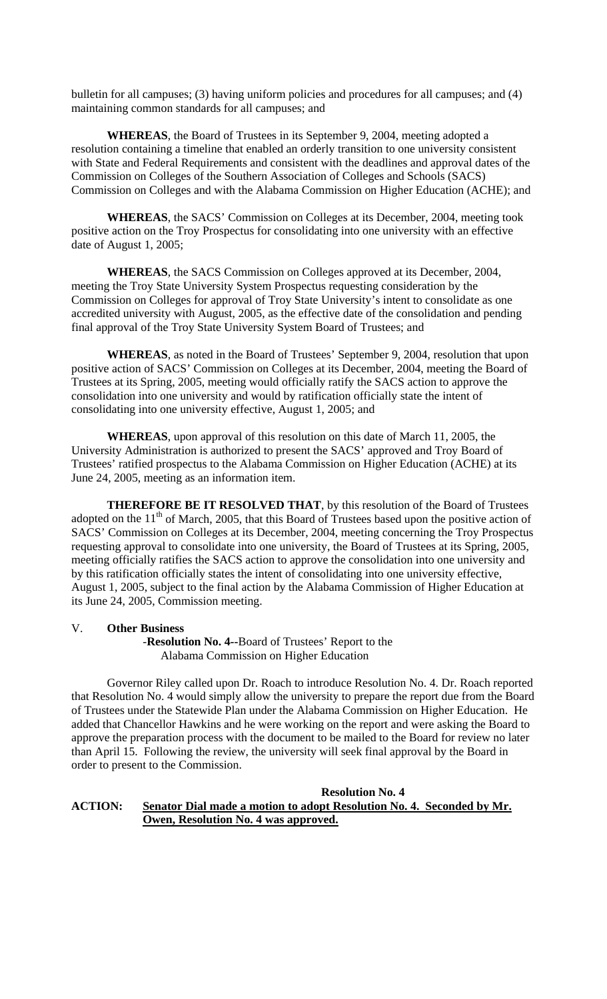bulletin for all campuses; (3) having uniform policies and procedures for all campuses; and (4) maintaining common standards for all campuses; and

**WHEREAS**, the Board of Trustees in its September 9, 2004, meeting adopted a resolution containing a timeline that enabled an orderly transition to one university consistent with State and Federal Requirements and consistent with the deadlines and approval dates of the Commission on Colleges of the Southern Association of Colleges and Schools (SACS) Commission on Colleges and with the Alabama Commission on Higher Education (ACHE); and

**WHEREAS**, the SACS' Commission on Colleges at its December, 2004, meeting took positive action on the Troy Prospectus for consolidating into one university with an effective date of August 1, 2005;

**WHEREAS**, the SACS Commission on Colleges approved at its December, 2004, meeting the Troy State University System Prospectus requesting consideration by the Commission on Colleges for approval of Troy State University's intent to consolidate as one accredited university with August, 2005, as the effective date of the consolidation and pending final approval of the Troy State University System Board of Trustees; and

**WHEREAS**, as noted in the Board of Trustees' September 9, 2004, resolution that upon positive action of SACS' Commission on Colleges at its December, 2004, meeting the Board of Trustees at its Spring, 2005, meeting would officially ratify the SACS action to approve the consolidation into one university and would by ratification officially state the intent of consolidating into one university effective, August 1, 2005; and

**WHEREAS**, upon approval of this resolution on this date of March 11, 2005, the University Administration is authorized to present the SACS' approved and Troy Board of Trustees' ratified prospectus to the Alabama Commission on Higher Education (ACHE) at its June 24, 2005, meeting as an information item.

**THEREFORE BE IT RESOLVED THAT**, by this resolution of the Board of Trustees adopted on the 11<sup>th</sup> of March, 2005, that this Board of Trustees based upon the positive action of SACS' Commission on Colleges at its December, 2004, meeting concerning the Troy Prospectus requesting approval to consolidate into one university, the Board of Trustees at its Spring, 2005, meeting officially ratifies the SACS action to approve the consolidation into one university and by this ratification officially states the intent of consolidating into one university effective, August 1, 2005, subject to the final action by the Alabama Commission of Higher Education at its June 24, 2005, Commission meeting.

### V. **Other Business**

 -**Resolution No. 4--**Board of Trustees' Report to the Alabama Commission on Higher Education

 Governor Riley called upon Dr. Roach to introduce Resolution No. 4. Dr. Roach reported that Resolution No. 4 would simply allow the university to prepare the report due from the Board of Trustees under the Statewide Plan under the Alabama Commission on Higher Education. He added that Chancellor Hawkins and he were working on the report and were asking the Board to approve the preparation process with the document to be mailed to the Board for review no later than April 15. Following the review, the university will seek final approval by the Board in order to present to the Commission.

## **Resolution No. 4 ACTION: Senator Dial made a motion to adopt Resolution No. 4. Seconded by Mr. Owen, Resolution No. 4 was approved.**